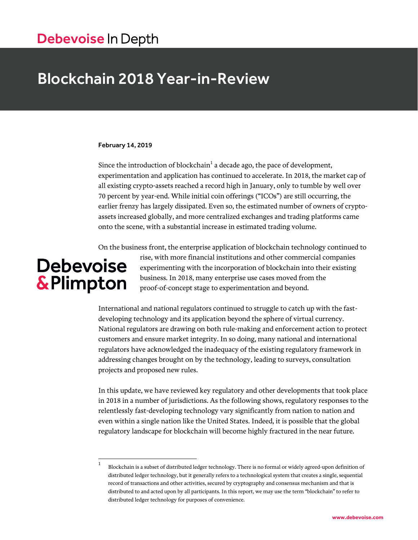# Debevoise In Depth

# Blockchain 2018 Year-in-Review

#### February 14, 2019

Since the introduction of blockchain $^1$  a decade ago, the pace of development, experimentation and application has continued to accelerate. In 2018, the market cap of all existing crypto-assets reached a record high in January, only to tumble by well over 70 percent by year-end. While initial coin offerings ("ICOs") are still occurring, the earlier frenzy has largely dissipated. Even so, the estimated number of owners of cryptoassets increased globally, and more centralized exchanges and trading platforms came onto the scene, with a substantial increase in estimated trading volume.

On the business front, the enterprise application of blockchain technology continued to

# **Debevoise** & Plimpton

rise, with more financial institutions and other commercial companies experimenting with the incorporation of blockchain into their existing business. In 2018, many enterprise use cases moved from the proof-of-concept stage to experimentation and beyond.

International and national regulators continued to struggle to catch up with the fastdeveloping technology and its application beyond the sphere of virtual currency. National regulators are drawing on both rule-making and enforcement action to protect customers and ensure market integrity. In so doing, many national and international regulators have acknowledged the inadequacy of the existing regulatory framework in addressing changes brought on by the technology, leading to surveys, consultation projects and proposed new rules.

In this update, we have reviewed key regulatory and other developments that took place in 2018 in a number of jurisdictions. As the following shows, regulatory responses to the relentlessly fast-developing technology vary significantly from nation to nation and even within a single nation like the United States. Indeed, it is possible that the global regulatory landscape for blockchain will become highly fractured in the near future.

 $\frac{1}{1}$ Blockchain is a subset of distributed ledger technology. There is no formal or widely agreed-upon definition of distributed ledger technology, but it generally refers to a technological system that creates a single, sequential record of transactions and other activities, secured by cryptography and consensus mechanism and that is distributed to and acted upon by all participants. In this report, we may use the term "blockchain" to refer to distributed ledger technology for purposes of convenience.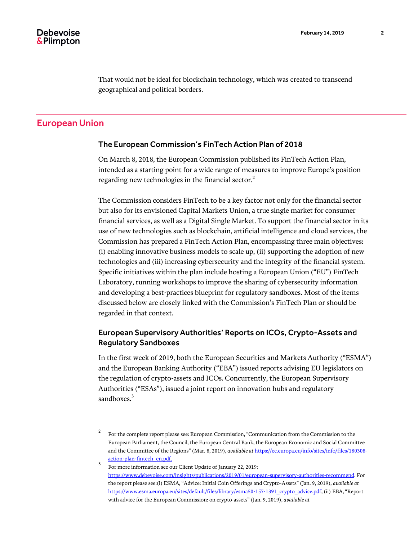That would not be ideal for blockchain technology, which was created to transcend geographical and political borders.

# European Union

# The European Commission's FinTech Action Plan of 2018

On March 8, 2018, the European Commission published its FinTech Action Plan, intended as a starting point for a wide range of measures to improve Europe's position regarding new technologies in the financial sector. $^2$ 

The Commission considers FinTech to be a key factor not only for the financial sector but also for its envisioned Capital Markets Union, a true single market for consumer financial services, as well as a Digital Single Market. To support the financial sector in its use of new technologies such as blockchain, artificial intelligence and cloud services, the Commission has prepared a FinTech Action Plan, encompassing three main objectives: (i) enabling innovative business models to scale up, (ii) supporting the adoption of new technologies and (iii) increasing cybersecurity and the integrity of the financial system. Specific initiatives within the plan include hosting a European Union ("EU") FinTech Laboratory, running workshops to improve the sharing of cybersecurity information and developing a best-practices blueprint for regulatory sandboxes. Most of the items discussed below are closely linked with the Commission's FinTech Plan or should be regarded in that context.

# European Supervisory Authorities' Reports on ICOs, Crypto-Assets and Regulatory Sandboxes

In the first week of 2019, both the European Securities and Markets Authority ("ESMA") and the European Banking Authority ("EBA") issued reports advising EU legislators on the regulation of crypto-assets and ICOs. Concurrently, the European Supervisory Authorities ("ESAs"), issued a joint report on innovation hubs and regulatory sandboxes.<sup>3</sup>

 $\frac{1}{2}$ For the complete report please see: European Commission, "Communication from the Commission to the European Parliament, the Council, the European Central Bank, the European Economic and Social Committee and the Committee of the Regions" (Mar. 8, 2019), *available at* [https://ec.europa.eu/info/sites/info/files/180308](https://ec.europa.eu/info/sites/info/files/180308-action-plan-fintech_en.pdf) [action-plan-fintech\\_en.pdf.](https://ec.europa.eu/info/sites/info/files/180308-action-plan-fintech_en.pdf)

<sup>3</sup> For more information see our Client Update of January 22, 2019: [https://www.debevoise.com/insights/publications/2019/01/european-supervisory-authorities-recommend.](https://www.debevoise.com/insights/publications/2019/01/european-supervisory-authorities-recommend) For the report please see:(i) ESMA, "Advice: Initial Coin Offerings and Crypto-Assets" (Jan. 9, 2019), *available at* [https://www.esma.europa.eu/sites/default/files/library/esma50-157-1391\\_crypto\\_advice.pdf,](https://www.esma.europa.eu/sites/default/files/library/esma50-157-1391_crypto_advice.pdf) (ii) EBA, "Report with advice for the European Commission: on crypto-assets" (Jan. 9, 2019), *available at*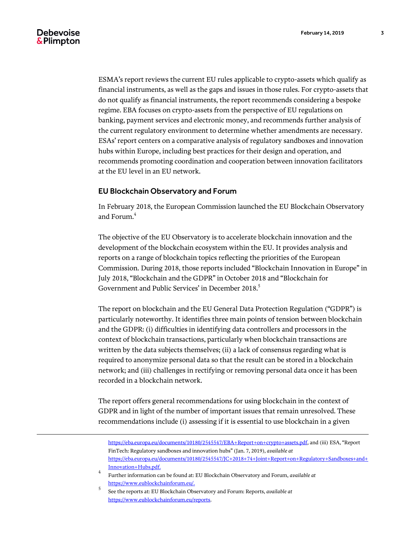l

ESMA's report reviews the current EU rules applicable to crypto-assets which qualify as financial instruments, as well as the gaps and issues in those rules. For crypto-assets that do not qualify as financial instruments, the report recommends considering a bespoke regime. EBA focuses on crypto-assets from the perspective of EU regulations on banking, payment services and electronic money, and recommends further analysis of the current regulatory environment to determine whether amendments are necessary. ESAs' report centers on a comparative analysis of regulatory sandboxes and innovation hubs within Europe, including best practices for their design and operation, and recommends promoting coordination and cooperation between innovation facilitators at the EU level in an EU network.

### EU Blockchain Observatory and Forum

In February 2018, the European Commission launched the EU Blockchain Observatory and Forum.<sup>4</sup>

The objective of the EU Observatory is to accelerate blockchain innovation and the development of the blockchain ecosystem within the EU. It provides analysis and reports on a range of blockchain topics reflecting the priorities of the European Commission. During 2018, those reports included "Blockchain Innovation in Europe" in July 2018, "Blockchain and the GDPR" in October 2018 and "Blockchain for Government and Public Services' in December 2018. 5

The report on blockchain and the EU General Data Protection Regulation ("GDPR") is particularly noteworthy. It identifies three main points of tension between blockchain and the GDPR: (i) difficulties in identifying data controllers and processors in the context of blockchain transactions, particularly when blockchain transactions are written by the data subjects themselves; (ii) a lack of consensus regarding what is required to anonymize personal data so that the result can be stored in a blockchain network; and (iii) challenges in rectifying or removing personal data once it has been recorded in a blockchain network.

[The report offers general recommendations for using blockchain in the context of](https://www.eublockchainforum.eu/sites/default/files/reports/eu_observatory_blockchain_in_government_services_v1_2018-12-07.pdf?width=1024&height=800&iframe=true)  [GDPR and in light of the number of important issues that remain unresolved. These](https://www.eublockchainforum.eu/sites/default/files/reports/eu_observatory_blockchain_in_government_services_v1_2018-12-07.pdf?width=1024&height=800&iframe=true)  [recommendations include \(i\) assessing if it is essential to use blockchain in a given](https://www.eublockchainforum.eu/sites/default/files/reports/eu_observatory_blockchain_in_government_services_v1_2018-12-07.pdf?width=1024&height=800&iframe=true) 

[https://eba.europa.eu/documents/10180/2545547/EBA+Report+on+crypto+assets.pdf,](https://eba.europa.eu/documents/10180/2545547/EBA+Report+on+crypto+assets.pdf) and (iii) ESA, "Report FinTech: Regulatory sandboxes and innovation hubs" (Jan. 7, 2019), *available at* [https://eba.europa.eu/documents/10180/2545547/JC+2018+74+Joint+Report+on+Regulatory+Sandboxes+and+](https://eba.europa.eu/documents/10180/2545547/JC+2018+74+Joint+Report+on+Regulatory+Sandboxes+and+Innovation+Hubs.pdf) [Innovation+Hubs.pdf.](https://eba.europa.eu/documents/10180/2545547/JC+2018+74+Joint+Report+on+Regulatory+Sandboxes+and+Innovation+Hubs.pdf)

<sup>4</sup> Further information can be found at: EU Blockchain Observatory and Forum, *available at*  [https://www.eublockchainforum.eu/.](https://www.eublockchainforum.eu/)

<sup>5</sup> See the reports at: EU Blockchain Observatory and Forum: Reports, *available at*  [https://www.eublockchainforum.eu/reports.](https://www.eublockchainforum.eu/reports)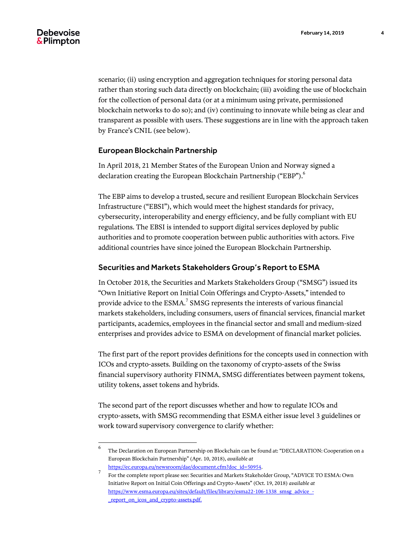[scenario; \(ii\) using encryption and aggregation techniques for storing personal data](https://www.eublockchainforum.eu/sites/default/files/reports/eu_observatory_blockchain_in_government_services_v1_2018-12-07.pdf?width=1024&height=800&iframe=true)  [rather than storing such data directly on blockchain; \(iii\) avoiding the use of blockchain](https://www.eublockchainforum.eu/sites/default/files/reports/eu_observatory_blockchain_in_government_services_v1_2018-12-07.pdf?width=1024&height=800&iframe=true)  [for the collection of personal data \(or at a minimum using private, permissioned](https://www.eublockchainforum.eu/sites/default/files/reports/eu_observatory_blockchain_in_government_services_v1_2018-12-07.pdf?width=1024&height=800&iframe=true)  [blockchain networks to do so\); and \(iv\) continuing to innovate while being as clear and](https://www.eublockchainforum.eu/sites/default/files/reports/eu_observatory_blockchain_in_government_services_v1_2018-12-07.pdf?width=1024&height=800&iframe=true)  transparent as possible with users. [These suggestions are in line with the approach taken](https://www.eublockchainforum.eu/sites/default/files/reports/eu_observatory_blockchain_in_government_services_v1_2018-12-07.pdf?width=1024&height=800&iframe=true)  by France'[s CNIL \(see below\).](https://www.eublockchainforum.eu/sites/default/files/reports/eu_observatory_blockchain_in_government_services_v1_2018-12-07.pdf?width=1024&height=800&iframe=true)

#### European Blockchain Partnership

In April 2018, 21 Member States of the European Union and Norway signed a declaration creating the European Blockchain Partnership ("EBP").<sup>6</sup>

The EBP aims to develop a trusted, secure and resilient European Blockchain Services Infrastructure ("EBSI"), which would meet the highest standards for privacy, cybersecurity, interoperability and energy efficiency, and be fully compliant with EU regulations. The EBSI is intended to support digital services deployed by public authorities and to promote cooperation between public authorities with actors. Five additional countries have since joined the European Blockchain Partnership.

### Securities and Markets Stakeholders Group's Report to ESMA

In October 2018, the Securities and Markets Stakeholders Group ("SMSG") issued its "Own Initiative Report on Initial Coin Offerings and Crypto-Assets," intended to provide advice to the  $\mathsf{ESMA}^{\mathsf{7}}$  SMSG represents the interests of various financial markets stakeholders, including consumers, users of financial services, financial market participants, academics, employees in the financial sector and small and medium-sized enterprises and provides advice to ESMA on development of financial market policies.

The first part of the report provides definitions for the concepts used in connection with ICOs and crypto-assets. Building on the taxonomy of crypto-assets of the Swiss financial supervisory authority FINMA, SMSG differentiates between payment tokens, utility tokens, asset tokens and hybrids.

The second part of the report discusses whether and how to regulate ICOs and crypto-assets, with SMSG recommending that ESMA either issue level 3 guidelines or work toward supervisory convergence to clarify whether:

 6 The Declaration on European Partnership on Blockchain can be found at: "DECLARATION: Cooperation on a European Blockchain Partnership" (Apr. 10, 2018), *available at* 

[https://ec.europa.eu/newsroom/dae/document.cfm?doc\\_id=50954.](https://ec.europa.eu/newsroom/dae/document.cfm?doc_id=50954) 7

For the complete report please see: Securities and Markets Stakeholder Group, "ADVICE TO ESMA: Own Initiative Report on Initial Coin Offerings and Crypto-Assets" (Oct. 19, 2018) *available at*  [https://www.esma.europa.eu/sites/default/files/library/esma22-106-1338\\_smsg\\_advice\\_-](https://www.esma.europa.eu/sites/default/files/library/esma22-106-1338_smsg_advice_-_report_on_icos_and_crypto-assets.pdf) [\\_report\\_on\\_icos\\_and\\_crypto-assets.pdf.](https://www.esma.europa.eu/sites/default/files/library/esma22-106-1338_smsg_advice_-_report_on_icos_and_crypto-assets.pdf)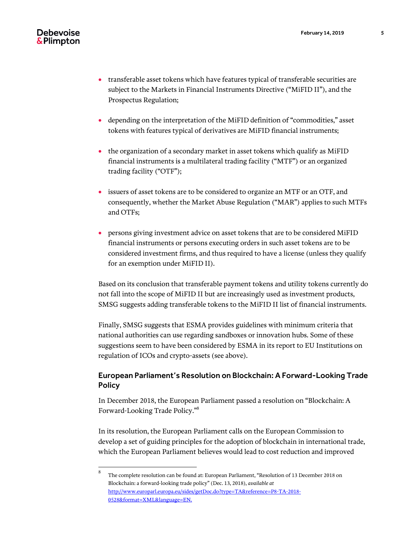- transferable asset tokens which have features typical of transferable securities are subject to the Markets in Financial Instruments Directive ("MiFID II"), and the Prospectus Regulation;
- depending on the interpretation of the MiFID definition of "commodities," asset tokens with features typical of derivatives are MiFID financial instruments;
- the organization of a secondary market in asset tokens which qualify as MiFID financial instruments is a multilateral trading facility ("MTF") or an organized trading facility ("OTF");
- issuers of asset tokens are to be considered to organize an MTF or an OTF, and consequently, whether the Market Abuse Regulation ("MAR") applies to such MTFs and OTFs;
- persons giving investment advice on asset tokens that are to be considered MiFID financial instruments or persons executing orders in such asset tokens are to be considered investment firms, and thus required to have a license (unless they qualify for an exemption under MiFID II).

Based on its conclusion that transferable payment tokens and utility tokens currently do not fall into the scope of MiFID II but are increasingly used as investment products, SMSG suggests adding transferable tokens to the MiFID II list of financial instruments.

Finally, SMSG suggests that ESMA provides guidelines with minimum criteria that national authorities can use regarding sandboxes or innovation hubs. Some of these suggestions seem to have been considered by ESMA in its report to EU Institutions on regulation of ICOs and crypto-assets (see above).

# European Parliament's Resolution on Blockchain: A Forward-Looking Trade **Policy**

In December 2018, the European Parliament passed a resolution on "Blockchain: A Forward-Looking Trade Policy." 8

In its resolution, the European Parliament calls on the European Commission to develop a set of guiding principles for the adoption of blockchain in international trade, which the European Parliament believes would lead to cost reduction and improved

 8 The complete resolution can be found at: European Parliament, "Resolution of 13 December 2018 on Blockchain: a forward-looking trade policy" (Dec. 13, 2018), *available at* [http://www.europarl.europa.eu/sides/getDoc.do?type=TA&reference=P8-TA-2018-](http://www.europarl.europa.eu/sides/getDoc.do?type=TA&reference=P8-TA-2018-0528&format=XML&language=EN.) [0528&format=XML&language=EN.](http://www.europarl.europa.eu/sides/getDoc.do?type=TA&reference=P8-TA-2018-0528&format=XML&language=EN.)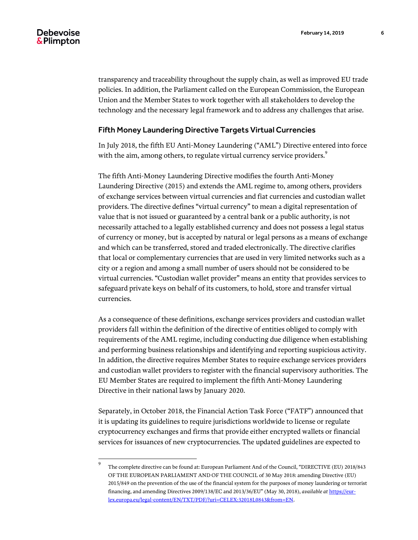l

transparency and traceability throughout the supply chain, as well as improved EU trade policies. In addition, the Parliament called on the European Commission, the European Union and the Member States to work together with all stakeholders to develop the technology and the necessary legal framework and to address any challenges that arise.

#### Fifth Money Laundering Directive Targets Virtual Currencies

In July 2018, the fifth EU Anti-Money Laundering ("AML") Directive entered into force with the aim, among others, to regulate virtual currency service providers.<sup>9</sup>

The fifth Anti-Money Laundering Directive modifies the fourth Anti-Money Laundering Directive (2015) and extends the AML regime to, among others, providers of exchange services between virtual currencies and fiat currencies and custodian wallet providers. The directive defines "virtual currency" to mean a digital representation of value that is not issued or guaranteed by a central bank or a public authority, is not necessarily attached to a legally established currency and does not possess a legal status of currency or money, but is accepted by natural or legal persons as a means of exchange and which can be transferred, stored and traded electronically. The directive clarifies that local or complementary currencies that are used in very limited networks such as a city or a region and among a small number of users should not be considered to be virtual currencies. "Custodian wallet provider" means an entity that provides services to safeguard private keys on behalf of its customers, to hold, store and transfer virtual currencies.

As a consequence of these definitions, exchange services providers and custodian wallet providers fall within the definition of the directive of entities obliged to comply with requirements of the AML regime, including conducting due diligence when establishing and performing business relationships and identifying and reporting suspicious activity. In addition, the directive requires Member States to require exchange services providers and custodian wallet providers to register with the financial supervisory authorities. The EU Member States are required to implement the fifth Anti-Money Laundering Directive in their national laws by January 2020.

Separately, in October 2018, the Financial Action Task Force ("FATF") announced that it is updating its guidelines to require jurisdictions worldwide to license or regulate cryptocurrency exchanges and firms that provide either encrypted wallets or financial services for issuances of new cryptocurrencies. The updated guidelines are expected to

<sup>9</sup> The complete directive can be found at: European Parliament And of the Council, "DIRECTIVE (EU) 2018/843 OF THE EUROPEAN PARLIAMENT AND OF THE COUNCIL of 30 May 2018: amending Directive (EU) 2015/849 on the prevention of the use of the financial system for the purposes of money laundering or terrorist financing, and amending Directives 2009/138/EC and 2013/36/EU" (May 30, 2018), *available at* [https://eur](https://eur-lex.europa.eu/legal-content/EN/TXT/PDF/?uri=CELEX:32018L0843&from=EN)[lex.europa.eu/legal-content/EN/TXT/PDF/?uri=CELEX:32018L0843&from=EN.](https://eur-lex.europa.eu/legal-content/EN/TXT/PDF/?uri=CELEX:32018L0843&from=EN)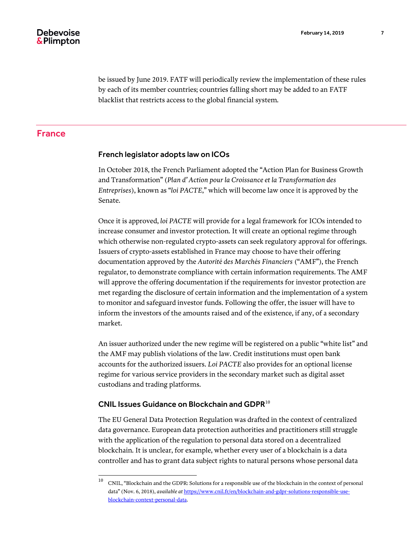be issued by June 2019. FATF will periodically review the implementation of these rules by each of its member countries; countries falling short may be added to an FATF blacklist that restricts access to the global financial system.

# France

# French legislator adopts law on ICOs

In October 2018, the French Parliament adopted the "Action Plan for Business Growth and Transformation" (*Plan d' Action pour la Croissance et la Transformation des Entreprises*), known as "*loi PACTE*," which will become law once it is approved by the Senate.

Once it is approved, *loi PACTE* will provide for a legal framework for ICOs intended to increase consumer and investor protection. It will create an optional regime through which otherwise non-regulated crypto-assets can seek regulatory approval for offerings. Issuers of crypto-assets established in France may choose to have their offering documentation approved by the *Autorité des Marchés Financiers* ("AMF"), the French regulator, to demonstrate compliance with certain information requirements. The AMF will approve the offering documentation if the requirements for investor protection are met regarding the disclosure of certain information and the implementation of a system to monitor and safeguard investor funds. Following the offer, the issuer will have to inform the investors of the amounts raised and of the existence, if any, of a secondary market.

An issuer authorized under the new regime will be registered on a public "white list" and the AMF may publish violations of the law. Credit institutions must open bank accounts for the authorized issuers. *Loi PACTE* also provides for an optional license regime for various service providers in the secondary market such as digital asset custodians and trading platforms.

# CNIL Issues Guidance on Blockchain and GDPR $^{10}$

The EU General Data Protection Regulation was drafted in the context of centralized data governance. European data protection authorities and practitioners still struggle with the application of the regulation to personal data stored on a decentralized blockchain. It is unclear, for example, whether every user of a blockchain is a data controller and has to grant data subject rights to natural persons whose personal data

 $10\,$ <sup>10</sup> CNIL, "Blockchain and the GDPR: Solutions for a responsible use of the blockchain in the context of personal data" (Nov. 6, 2018), *available at [https://www.cnil.fr/en/blockchain-and-gdpr-solutions-responsible-use](https://www.cnil.fr/en/blockchain-and-gdpr-solutions-responsible-use-blockchain-context-personal-data)*[blockchain-context-personal-data.](https://www.cnil.fr/en/blockchain-and-gdpr-solutions-responsible-use-blockchain-context-personal-data)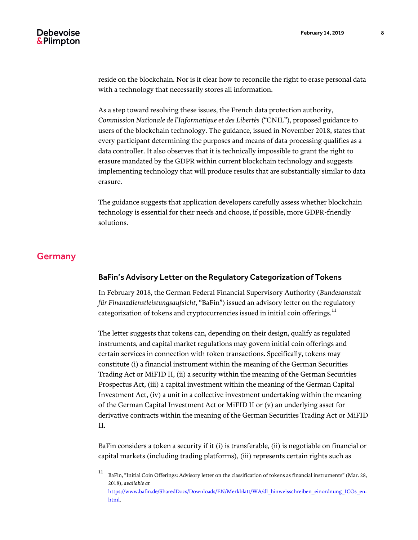reside on the blockchain. Nor is it clear how to reconcile the right to erase personal data with a technology that necessarily stores all information.

As a step toward resolving these issues, the French data protection authority, *Commission Nationale de l'Informatique et des Libertés* ("CNIL"), proposed guidance to users of the blockchain technology. The guidance, issued in November 2018, states that every participant determining the purposes and means of data processing qualifies as a data controller. It also observes that it is technically impossible to grant the right to erasure mandated by the GDPR within current blockchain technology and suggests implementing technology that will produce results that are substantially similar to data erasure.

The guidance suggests that application developers carefully assess whether blockchain technology is essential for their needs and choose, if possible, more GDPR-friendly solutions.

# **Germany**

#### BaFin's Advisory Letter on the Regulatory Categorization of Tokens

In February 2018, the German Federal Financial Supervisory Authority (*Bundesanstalt für Finanzdienstleistungsaufsicht*, "BaFin") issued an advisory letter on the regulatory categorization of tokens and cryptocurrencies issued in initial coin offerings.<sup>11</sup>

The letter suggests that tokens can, depending on their design, qualify as regulated instruments, and capital market regulations may govern initial coin offerings and certain services in connection with token transactions. Specifically, tokens may constitute (i) a financial instrument within the meaning of the German Securities Trading Act or MiFID II, (ii) a security within the meaning of the German Securities Prospectus Act, (iii) a capital investment within the meaning of the German Capital Investment Act, (iv) a unit in a collective investment undertaking within the meaning of the German Capital Investment Act or MiFID II or (v) an underlying asset for derivative contracts within the meaning of the German Securities Trading Act or MiFID II.

BaFin considers a token a security if it (i) is transferable, (ii) is negotiable on financial or capital markets (including trading platforms), (iii) represents certain rights such as

 $11$ <sup>11</sup> BaFin, "Initial Coin Offerings: Advisory letter on the classification of tokens as financial instruments" (Mar. 28, 2018), *available at*  [https://www.bafin.de/SharedDocs/Downloads/EN/Merkblatt/WA/dl\\_hinweisschreiben\\_einordnung\\_ICOs\\_en.](https://www.bafin.de/SharedDocs/Downloads/EN/Merkblatt/WA/dl_hinweisschreiben_einordnung_ICOs_en.html) [html.](https://www.bafin.de/SharedDocs/Downloads/EN/Merkblatt/WA/dl_hinweisschreiben_einordnung_ICOs_en.html)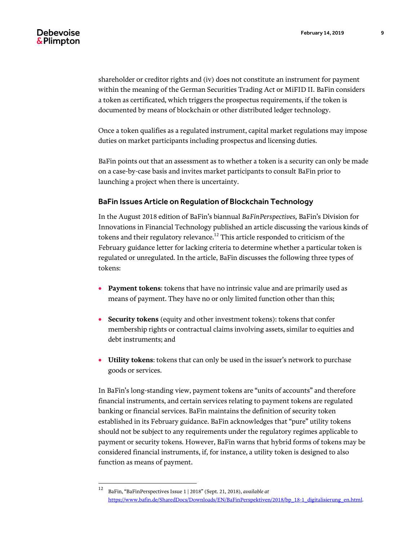shareholder or creditor rights and (iv) does not constitute an instrument for payment within the meaning of the German Securities Trading Act or MiFID II. BaFin considers a token as certificated, which triggers the prospectus requirements, if the token is documented by means of blockchain or other distributed ledger technology.

Once a token qualifies as a regulated instrument, capital market regulations may impose duties on market participants including prospectus and licensing duties.

BaFin points out that an assessment as to whether a token is a security can only be made on a case-by-case basis and invites market participants to consult BaFin prior to launching a project when there is uncertainty.

#### BaFin Issues Article on Regulation of Blockchain Technology

In the August 2018 edition of BaFin's biannual *BaFinPerspectives,* BaFin's Division for Innovations in Financial Technology published an article discussing the various kinds of tokens and their regulatory relevance. $^{12}$  This article responded to criticism of the February guidance letter for lacking criteria to determine whether a particular token is regulated or unregulated. In the article, BaFin discusses the following three types of tokens:

- **Payment tokens**: tokens that have no intrinsic value and are primarily used as means of payment. They have no or only limited function other than this;
- **Security tokens** (equity and other investment tokens): tokens that confer membership rights or contractual claims involving assets, similar to equities and debt instruments; and
- **Utility tokens**: tokens that can only be used in the issuer's network to purchase goods or services.

In BaFin's long-standing view, payment tokens are "units of accounts" and therefore financial instruments, and certain services relating to payment tokens are regulated banking or financial services. BaFin maintains the definition of security token established in its February guidance. BaFin acknowledges that "pure" utility tokens should not be subject to any requirements under the regulatory regimes applicable to payment or security tokens. However, BaFin warns that hybrid forms of tokens may be considered financial instruments, if, for instance, a utility token is designed to also function as means of payment.

 $12\,$ <sup>12</sup> BaFin, "BaFinPerspectives Issue 1 | 2018" (Sept. 21, 2018), *available at* [https://www.bafin.de/SharedDocs/Downloads/EN/BaFinPerspektiven/2018/bp\\_18-1\\_digitalisierung\\_en.html.](https://www.bafin.de/SharedDocs/Downloads/EN/BaFinPerspektiven/2018/bp_18-1_digitalisierung_en.html)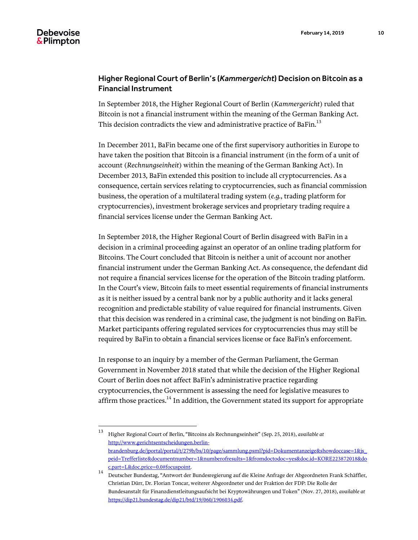# Higher Regional Court of Berlin's (*Kammergericht*) Decision on Bitcoin as a Financial Instrument

In September 2018, the Higher Regional Court of Berlin (*Kammergericht*) ruled that Bitcoin is not a financial instrument within the meaning of the German Banking Act. This decision contradicts the view and administrative practice of BaFin.<sup>13</sup>

In December 2011, BaFin became one of the first supervisory authorities in Europe to have taken the position that Bitcoin is a financial instrument (in the form of a unit of account (*Rechnungseinheit*) within the meaning of the German Banking Act). In December 2013, BaFin extended this position to include all cryptocurrencies. As a consequence, certain services relating to cryptocurrencies, such as financial commission business, the operation of a multilateral trading system (*e.g.*, trading platform for cryptocurrencies), investment brokerage services and proprietary trading require a financial services license under the German Banking Act.

In September 2018, the Higher Regional Court of Berlin disagreed with BaFin in a decision in a criminal proceeding against an operator of an online trading platform for Bitcoins. The Court concluded that Bitcoin is neither a unit of account nor another financial instrument under the German Banking Act. As consequence, the defendant did not require a financial services license for the operation of the Bitcoin trading platform. In the Court's view, Bitcoin fails to meet essential requirements of financial instruments as it is neither issued by a central bank nor by a public authority and it lacks general recognition and predictable stability of value required for financial instruments. Given that this decision was rendered in a criminal case, the judgment is not binding on BaFin. Market participants offering regulated services for cryptocurrencies thus may still be required by BaFin to obtain a financial services license or face BaFin's enforcement.

In response to an inquiry by a member of the German Parliament, the German Government in November 2018 stated that while the decision of the Higher Regional Court of Berlin does not affect BaFin's administrative practice regarding cryptocurrencies, the Government is assessing the need for legislative measures to affirm those practices.<sup>14</sup> In addition, the Government stated its support for appropriate

 $13\,$ <sup>13</sup> Higher Regional Court of Berlin, "Bitcoins als Rechnungseinheit" (Sep. 25, 2018), *available at* [http://www.gerichtsentscheidungen.berlin](http://www.gerichtsentscheidungen.berlin-brandenburg.de/jportal/portal/t/279b/bs/10/page/sammlung.psml?pid=Dokumentanzeige&showdoccase=1&js_peid=Trefferliste&documentnumber=1&numberofresults=1&fromdoctodoc=yes&doc.id=KORE223872018&doc.part=L&doc.price=0.0%23focuspoint)[brandenburg.de/jportal/portal/t/279b/bs/10/page/sammlung.psml?pid=Dokumentanzeige&showdoccase=1&js\\_](http://www.gerichtsentscheidungen.berlin-brandenburg.de/jportal/portal/t/279b/bs/10/page/sammlung.psml?pid=Dokumentanzeige&showdoccase=1&js_peid=Trefferliste&documentnumber=1&numberofresults=1&fromdoctodoc=yes&doc.id=KORE223872018&doc.part=L&doc.price=0.0%23focuspoint) [peid=Trefferliste&documentnumber=1&numberofresults=1&fromdoctodoc=yes&doc.id=KORE223872018&do](http://www.gerichtsentscheidungen.berlin-brandenburg.de/jportal/portal/t/279b/bs/10/page/sammlung.psml?pid=Dokumentanzeige&showdoccase=1&js_peid=Trefferliste&documentnumber=1&numberofresults=1&fromdoctodoc=yes&doc.id=KORE223872018&doc.part=L&doc.price=0.0%23focuspoint) [c.part=L&doc.price=0.0#focuspoint.](http://www.gerichtsentscheidungen.berlin-brandenburg.de/jportal/portal/t/279b/bs/10/page/sammlung.psml?pid=Dokumentanzeige&showdoccase=1&js_peid=Trefferliste&documentnumber=1&numberofresults=1&fromdoctodoc=yes&doc.id=KORE223872018&doc.part=L&doc.price=0.0%23focuspoint)

<sup>14</sup> Deutscher Bundestag, "Antwort der Bundesregierung auf die Kleine Anfrage der Abgeordneten Frank Schäffler, Christian Dürr, Dr. Florian Toncar, weiterer Abgeordneter und der Fraktion der FDP: Die Rolle der Bundesanstalt für Finanzdienstleitungsaufsicht bei Kryptowährungen und Token" (Nov. 27, 2018), *available at* [https://dip21.bundestag.de/dip21/btd/19/060/1906034.pdf.](https://dip21.bundestag.de/dip21/btd/19/060/1906034.pdf)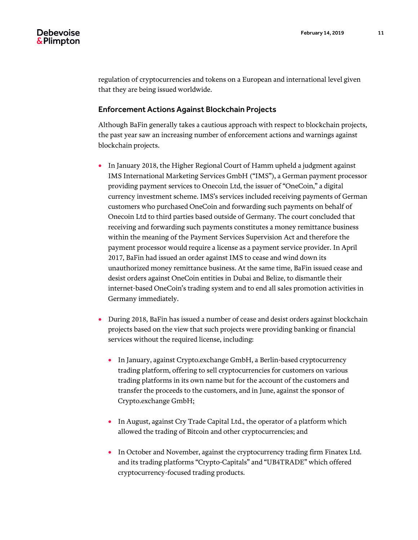regulation of cryptocurrencies and tokens on a European and international level given that they are being issued worldwide.

# Enforcement Actions Against Blockchain Projects

Although BaFin generally takes a cautious approach with respect to blockchain projects, the past year saw an increasing number of enforcement actions and warnings against blockchain projects.

- In January 2018, the Higher Regional Court of Hamm upheld a judgment against IMS International Marketing Services GmbH ("IMS"), a German payment processor providing payment services to Onecoin Ltd, the issuer of "OneCoin," a digital currency investment scheme. IMS's services included receiving payments of German customers who purchased OneCoin and forwarding such payments on behalf of Onecoin Ltd to third parties based outside of Germany. The court concluded that receiving and forwarding such payments constitutes a money remittance business within the meaning of the Payment Services Supervision Act and therefore the payment processor would require a license as a payment service provider. In April 2017, BaFin had issued an order against IMS to cease and wind down its unauthorized money remittance business. At the same time, BaFin issued cease and desist orders against OneCoin entities in Dubai and Belize, to dismantle their internet-based OneCoin's trading system and to end all sales promotion activities in Germany immediately.
- During 2018, BaFin has issued a number of cease and desist orders against blockchain projects based on the view that such projects were providing banking or financial services without the required license, including:
	- In January, against Crypto.exchange GmbH, a Berlin-based cryptocurrency trading platform, offering to sell cryptocurrencies for customers on various trading platforms in its own name but for the account of the customers and transfer the proceeds to the customers, and in June, against the sponsor of Crypto.exchange GmbH;
	- In August, against Cry Trade Capital Ltd., the operator of a platform which allowed the trading of Bitcoin and other cryptocurrencies; and
	- In October and November, against the cryptocurrency trading firm Finatex Ltd. and its trading platforms "Crypto-Capitals" and "UB4TRADE" which offered cryptocurrency-focused trading products.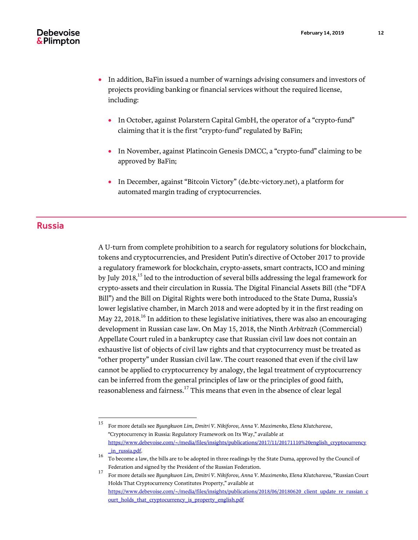- In addition, BaFin issued a number of warnings advising consumers and investors of projects providing banking or financial services without the required license, including:
	- In October, against Polarstern Capital GmbH, the operator of a "crypto-fund" claiming that it is the first "crypto-fund" regulated by BaFin;
	- In November, against Platincoin Genesis DMCC, a "crypto-fund" claiming to be approved by BaFin;
	- In December, against "Bitcoin Victory" (de.btc-victory.net), a platform for automated margin trading of cryptocurrencies.

# Russia

A U-turn from complete prohibition to a search for regulatory solutions for blockchain, tokens and cryptocurrencies, and President Putin's directive of October 2017 to provide a regulatory framework for blockchain, crypto-assets, smart contracts, ICO and mining by July 2018,<sup>15</sup> led to the introduction of several bills addressing the legal framework for crypto-assets and their circulation in Russia. The Digital Financial Assets Bill (the "DFA Bill") and the Bill on Digital Rights were both introduced to the State Duma, Russia's lower legislative chamber, in March 2018 and were adopted by it in the first reading on May 22, 2018.<sup>16</sup> In addition to these legislative initiatives, there was also an encouraging development in Russian case law. On May 15, 2018, the Ninth *Arbitrazh* (Commercial) Appellate Court ruled in a bankruptcy case that Russian civil law does not contain an exhaustive list of objects of civil law rights and that cryptocurrency must be treated as "other property" under Russian civil law. The court reasoned that even if the civil law cannot be applied to cryptocurrency by analogy, the legal treatment of cryptocurrency can be inferred from the general principles of law or the principles of good faith, reasonableness and fairness.<sup>17</sup> This means that even in the absence of clear legal

 $15\,$ <sup>15</sup> For more details see *Byungkwon Lim, Dmitri V. Nikiforov, Anna V. Maximenko, Elena Klutchareva*, "Cryptocurrency in Russia: Regulatory Framework on Its Way," available at [https://www.debevoise.com/~/media/files/insights/publications/2017/11/20171110%20english\\_cryptocurrency](https://www.debevoise.com/~/media/files/insights/publications/2017/11/20171110%20english_cryptocurrency_in_russia.pdf) [\\_in\\_russia.pdf.](https://www.debevoise.com/~/media/files/insights/publications/2017/11/20171110%20english_cryptocurrency_in_russia.pdf)

<sup>16</sup> To become a law, the bills are to be adopted in three readings by the State Duma, approved by the Council of Federation and signed by the President of the Russian Federation.

<sup>17</sup> For more details see *Byungkwon Lim, Dmitri V. Nikiforov, Anna V. Maximenko, Elena Klutchareva*, "Russian Court Holds That Cryptocurrency Constitutes Property," available at [https://www.debevoise.com/~/media/files/insights/publications/2018/06/20180620\\_client\\_update\\_re\\_russian\\_c](https://www.debevoise.com/~/media/files/insights/publications/2018/06/20180620_client_update_re_russian_court_holds_that_cryptocurrency_is_property_english.pdf) [ourt\\_holds\\_that\\_cryptocurrency\\_is\\_property\\_english.pdf](https://www.debevoise.com/~/media/files/insights/publications/2018/06/20180620_client_update_re_russian_court_holds_that_cryptocurrency_is_property_english.pdf)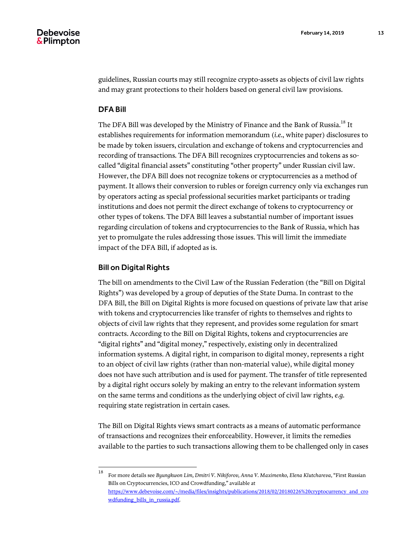guidelines, Russian courts may still recognize crypto-assets as objects of civil law rights and may grant protections to their holders based on general civil law provisions.

#### DFA Bill

The DFA Bill was developed by the Ministry of Finance and the Bank of Russia.<sup>18</sup> It establishes requirements for information memorandum (*i.e.*, white paper) disclosures to be made by token issuers, circulation and exchange of tokens and cryptocurrencies and recording of transactions. The DFA Bill recognizes cryptocurrencies and tokens as socalled "digital financial assets" constituting "other property" under Russian civil law. However, the DFA Bill does not recognize tokens or cryptocurrencies as a method of payment. It allows their conversion to rubles or foreign currency only via exchanges run by operators acting as special professional securities market participants or trading institutions and does not permit the direct exchange of tokens to cryptocurrency or other types of tokens. The DFA Bill leaves a substantial number of important issues regarding circulation of tokens and cryptocurrencies to the Bank of Russia, which has yet to promulgate the rules addressing those issues. This will limit the immediate impact of the DFA Bill, if adopted as is.

# Bill on Digital Rights

The bill on amendments to the Civil Law of the Russian Federation (the "Bill on Digital Rights") was developed by a group of deputies of the State Duma. In contrast to the DFA Bill, the Bill on Digital Rights is more focused on questions of private law that arise with tokens and cryptocurrencies like transfer of rights to themselves and rights to objects of civil law rights that they represent, and provides some regulation for smart contracts. According to the Bill on Digital Rights, tokens and cryptocurrencies are "digital rights" and "digital money," respectively, existing only in decentralized information systems. A digital right, in comparison to digital money, represents a right to an object of civil law rights (rather than non-material value), while digital money does not have such attribution and is used for payment. The transfer of title represented by a digital right occurs solely by making an entry to the relevant information system on the same terms and conditions as the underlying object of civil law rights, *e.g.* requiring state registration in certain cases.

The Bill on Digital Rights views smart contracts as a means of automatic performance of transactions and recognizes their enforceability. However, it limits the remedies available to the parties to such transactions allowing them to be challenged only in cases

<sup>18</sup> <sup>18</sup> For more details see *Byungkwon Lim, Dmitri V. Nikiforov, Anna V. Maximenko, Elena Klutchareva*, "First Russian Bills on Cryptocurrencies, ICO and Crowdfunding," available at [https://www.debevoise.com/~/media/files/insights/publications/2018/02/20180226%20cryptocurrency\\_and\\_cro](https://www.debevoise.com/~/media/files/insights/publications/2018/02/20180226%20cryptocurrency_and_crowdfunding_bills_in_russia.pdf) [wdfunding\\_bills\\_in\\_russia.pdf.](https://www.debevoise.com/~/media/files/insights/publications/2018/02/20180226%20cryptocurrency_and_crowdfunding_bills_in_russia.pdf)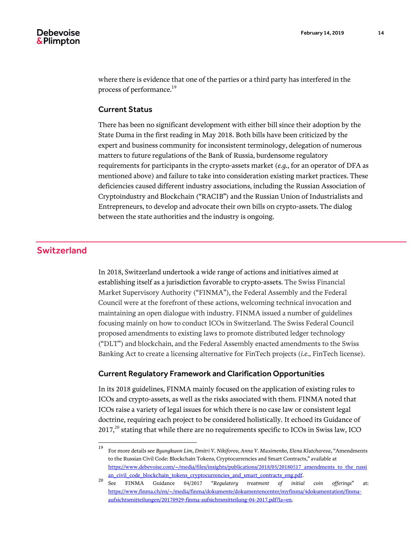where there is evidence that one of the parties or a third party has interfered in the process of performance.<sup>19</sup>

## Current Status

There has been no significant development with either bill since their adoption by the State Duma in the first reading in May 2018. Both bills have been criticized by the expert and business community for inconsistent terminology, delegation of numerous matters to future regulations of the Bank of Russia, burdensome regulatory requirements for participants in the crypto-assets market (*e.g.*, for an operator of DFA as mentioned above) and failure to take into consideration existing market practices. These deficiencies caused different industry associations, including the Russian Association of Cryptoindustry and Blockchain ("RACIB") and the Russian Union of Industrialists and Entrepreneurs, to develop and advocate their own bills on crypto-assets. The dialog between the state authorities and the industry is ongoing.

# Switzerland

In 2018, Switzerland undertook a wide range of actions and initiatives aimed at establishing itself as a jurisdiction favorable to crypto-assets. The Swiss Financial Market Supervisory Authority ("FINMA"), the Federal Assembly and the Federal Council were at the forefront of these actions, welcoming technical invocation and maintaining an open dialogue with industry. FINMA issued a number of guidelines focusing mainly on how to conduct ICOs in Switzerland. The Swiss Federal Council proposed amendments to existing laws to promote distributed ledger technology ("DLT") and blockchain, and the Federal Assembly enacted amendments to the Swiss Banking Act to create a licensing alternative for FinTech projects (*i.e.*, FinTech license).

#### Current Regulatory Framework and Clarification Opportunities

In its 2018 guidelines, FINMA mainly focused on the application of existing rules to ICOs and crypto-assets, as well as the risks associated with them. FINMA noted that ICOs raise a variety of legal issues for which there is no case law or consistent legal doctrine, requiring each project to be considered holistically. It echoed its Guidance of 2017, $^{20}$  stating that while there are no requirements specific to ICOs in Swiss law, ICO

 $19\,$ <sup>19</sup> For more details see *Byungkwon Lim, Dmitri V. Nikiforov, Anna V. Maximenko, Elena Klutchareva*, "Amendments to the Russian Civil Code: Blockchain Tokens, Cryptocurrencies and Smart Contracts," available at [https://www.debevoise.com/~/media/files/insights/publications/2018/05/20180517\\_amendments\\_to\\_the\\_russi](https://www.debevoise.com/~/media/files/insights/publications/2018/05/20180517_amendments_to_the_russian_civil_code_blockchain_tokens_cryptocurrencies_and_smart_contracts_eng.pdf) [an\\_civil\\_code\\_blockchain\\_tokens\\_cryptocurrencies\\_and\\_smart\\_contracts\\_eng.pdf.](https://www.debevoise.com/~/media/files/insights/publications/2018/05/20180517_amendments_to_the_russian_civil_code_blockchain_tokens_cryptocurrencies_and_smart_contracts_eng.pdf)

<sup>20</sup> See FINMA Guidance 04/2017 "*Regulatory treatment of initial coin offerings*" at: [https://www.finma.ch/en/~/media/finma/dokumente/dokumentencenter/myfinma/4dokumentation/finma](https://www.finma.ch/en/~/media/finma/dokumente/dokumentencenter/myfinma/4dokumentation/finma-aufsichtsmitteilungen/20170929-finma-aufsichtsmitteilung-04-2017.pdf?la=en)[aufsichtsmitteilungen/20170929-finma-aufsichtsmitteilung-04-2017.pdf?la=en.](https://www.finma.ch/en/~/media/finma/dokumente/dokumentencenter/myfinma/4dokumentation/finma-aufsichtsmitteilungen/20170929-finma-aufsichtsmitteilung-04-2017.pdf?la=en)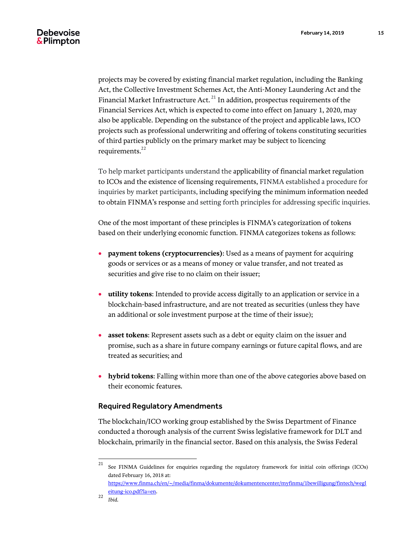projects may be covered by existing financial market regulation, including the Banking Act, the Collective Investment Schemes Act, the Anti-Money Laundering Act and the Financial Market Infrastructure Act. $^{21}$  In addition, prospectus requirements of the Financial Services Act, which is expected to come into effect on January 1, 2020, may also be applicable. Depending on the substance of the project and applicable laws, ICO projects such as professional underwriting and offering of tokens constituting securities of third parties publicly on the primary market may be subject to licencing requirements.<sup>22</sup>

To help market participants understand the applicability of financial market regulation to ICOs and the existence of licensing requirements, FINMA established a procedure for inquiries by market participants, including specifying the minimum information needed to obtain FINMA's response and setting forth principles for addressing specific inquiries.

One of the most important of these principles is FINMA's categorization of tokens based on their underlying economic function. FINMA categorizes tokens as follows:

- **payment tokens (cryptocurrencies)**: Used as a means of payment for acquiring goods or services or as a means of money or value transfer, and not treated as securities and give rise to no claim on their issuer;
- **utility tokens**: Intended to provide access digitally to an application or service in a blockchain-based infrastructure, and are not treated as securities (unless they have an additional or sole investment purpose at the time of their issue);
- **asset tokens**: Represent assets such as a debt or equity claim on the issuer and promise, such as a share in future company earnings or future capital flows, and are treated as securities; and
- **hybrid tokens**: Falling within more than one of the above categories above based on their economic features.

# Required Regulatory Amendments

The blockchain/ICO working group established by the Swiss Department of Finance conducted a thorough analysis of the current Swiss legislative framework for DLT and blockchain, primarily in the financial sector. Based on this analysis, the Swiss Federal

[https://www.finma.ch/en/~/media/finma/dokumente/dokumentencenter/myfinma/1bewilligung/fintech/wegl](https://www.finma.ch/en/~/media/finma/dokumente/dokumentencenter/myfinma/1bewilligung/fintech/wegleitung-ico.pdf?la=en) [eitung-ico.pdf?la=en.](https://www.finma.ch/en/~/media/finma/dokumente/dokumentencenter/myfinma/1bewilligung/fintech/wegleitung-ico.pdf?la=en)

 $21\,$ See FINMA Guidelines for enquiries regarding the regulatory framework for initial coin offerings (ICOs) dated February 16, 2018 at:

<sup>22</sup> *Ibid.*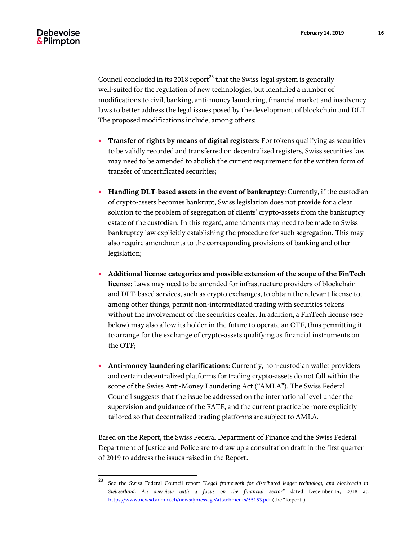Council concluded in its 2018 report<sup>23</sup> that the Swiss legal system is generally well-suited for the regulation of new technologies, but identified a number of modifications to civil, banking, anti-money laundering, financial market and insolvency laws to better address the legal issues posed by the development of blockchain and DLT. The proposed modifications include, among others:

- **Transfer of rights by means of digital registers**: For tokens qualifying as securities to be validly recorded and transferred on decentralized registers, Swiss securities law may need to be amended to abolish the current requirement for the written form of transfer of uncertificated securities;
- **Handling DLT-based assets in the event of bankruptcy**: Currently, if the custodian of crypto-assets becomes bankrupt, Swiss legislation does not provide for a clear solution to the problem of segregation of clients' crypto-assets from the bankruptcy estate of the custodian. In this regard, amendments may need to be made to Swiss bankruptcy law explicitly establishing the procedure for such segregation. This may also require amendments to the corresponding provisions of banking and other legislation;
- **Additional license categories and possible extension of the scope of the FinTech license**: Laws may need to be amended for infrastructure providers of blockchain and DLT-based services, such as crypto exchanges, to obtain the relevant license to, among other things, permit non-intermediated trading with securities tokens without the involvement of the securities dealer. In addition, a FinTech license (see below) may also allow its holder in the future to operate an OTF, thus permitting it to arrange for the exchange of crypto-assets qualifying as financial instruments on the OTF;
- **Anti-money laundering clarifications**: Currently, non-custodian wallet providers and certain decentralized platforms for trading crypto-assets do not fall within the scope of the Swiss Anti-Money Laundering Act ("AMLA"). The Swiss Federal Council suggests that the issue be addressed on the international level under the supervision and guidance of the FATF, and the current practice be more explicitly tailored so that decentralized trading platforms are subject to AMLA.

Based on the Report, the Swiss Federal Department of Finance and the Swiss Federal Department of Justice and Police are to draw up a consultation draft in the first quarter of 2019 to address the issues raised in the Report.

 $23\,$ <sup>23</sup> See the Swiss Federal Council report "*Legal framework for distributed ledger technology and blockchain in Switzerland. An overview with a focus on the financial sector*" dated December 14, 2018 at: <https://www.newsd.admin.ch/newsd/message/attachments/55153.pdf> (the "Report").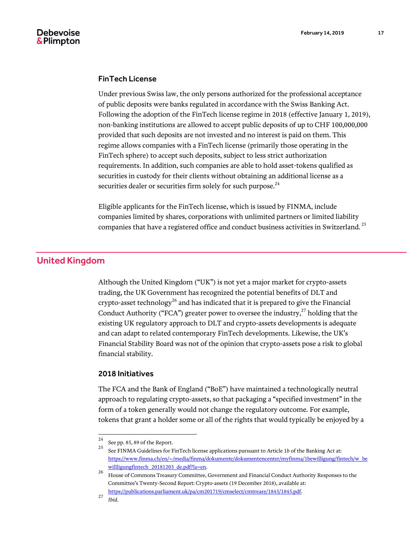

#### FinTech License

Under previous Swiss law, the only persons authorized for the professional acceptance of public deposits were banks regulated in accordance with the Swiss Banking Act. Following the adoption of the FinTech license regime in 2018 (effective January 1, 2019), non-banking institutions are allowed to accept public deposits of up to CHF 100,000,000 provided that such deposits are not invested and no interest is paid on them. This regime allows companies with a FinTech license (primarily those operating in the FinTech sphere) to accept such deposits, subject to less strict authorization requirements. In addition, such companies are able to hold asset-tokens qualified as securities in custody for their clients without obtaining an additional license as a securities dealer or securities firm solely for such purpose.<sup>24</sup>

Eligible applicants for the FinTech license, which is issued by FINMA, include companies limited by shares, corporations with unlimited partners or limited liability companies that have a registered office and conduct business activities in Switzerland.  $^{25}$ 

# United Kingdom

Although the United Kingdom ("UK") is not yet a major market for crypto-assets trading, the UK Government has recognized the potential benefits of DLT and crypto-asset technology $^{26}$  and has indicated that it is prepared to give the Financial Conduct Authority ("FCA") greater power to oversee the industry, $^{27}$  holding that the existing UK regulatory approach to DLT and crypto-assets developments is adequate and can adapt to related contemporary FinTech developments. Likewise, the UK's Financial Stability Board was not of the opinion that crypto-assets pose a risk to global financial stability.

#### 2018 Initiatives

The FCA and the Bank of England ("BoE") have maintained a technologically neutral approach to regulating crypto-assets, so that packaging a "specified investment" in the form of a token generally would not change the regulatory outcome. For example, tokens that grant a holder some or all of the rights that would typically be enjoyed by a

 $24\,$ <sup>24</sup> See pp. 85, 89 of the Report.

<sup>25</sup> See FINMA Guidelines for FinTech license applications pursuant to Article <sup>1</sup>*<sup>b</sup>* of the Banking Act at: [https://www.finma.ch/en/~/media/finma/dokumente/dokumentencenter/myfinma/1bewilligung/fintech/w\\_be](https://www.finma.ch/en/~/media/finma/dokumente/dokumentencenter/myfinma/1bewilligung/fintech/w_bewillligungfintech_20181203_de.pdf?la=en) [willligungfintech\\_20181203\\_de.pdf?la=en.](https://www.finma.ch/en/~/media/finma/dokumente/dokumentencenter/myfinma/1bewilligung/fintech/w_bewillligungfintech_20181203_de.pdf?la=en)

<sup>26</sup> House of Commons Treasury Committee, Government and Financial Conduct Authority Responses to the Committee's Twenty-Second Report: Crypto-assets (19 December 2018), available at: [https://publications.parliament.uk/pa/cm201719/cmselect/cmtreasy/1845/1845.pdf.](https://publications.parliament.uk/pa/cm201719/cmselect/cmtreasy/1845/1845.pdf)

<sup>27</sup> *Ibid*.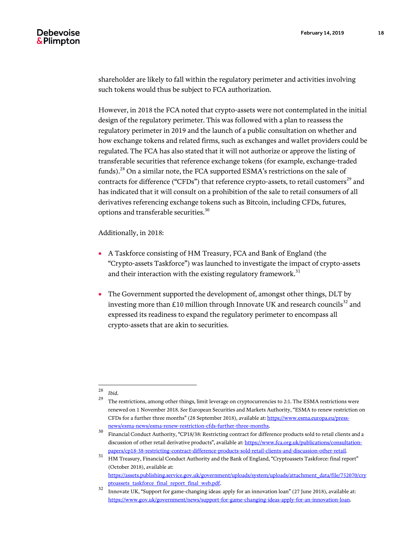shareholder are likely to fall within the regulatory perimeter and activities involving such tokens would thus be subject to FCA authorization.

However, in 2018 the FCA noted that crypto-assets were not contemplated in the initial design of the regulatory perimeter. This was followed with a plan to reassess the regulatory perimeter in 2019 and the launch of a public consultation on whether and how exchange tokens and related firms, such as exchanges and wallet providers could be regulated. The FCA has also stated that it will not authorize or approve the listing of transferable securities that reference exchange tokens (for example, exchange-traded funds).<sup>28</sup> On a similar note, the FCA supported ESMA's restrictions on the sale of contracts for difference ("CFDs") that reference crypto-assets, to retail customers<sup>29</sup> and has indicated that it will consult on a prohibition of the sale to retail consumers of all derivatives referencing exchange tokens such as Bitcoin, including CFDs, futures, options and transferable securities.<sup>30</sup>

Additionally, in 2018:

- A Taskforce consisting of HM Treasury, FCA and Bank of England (the "Crypto-assets Taskforce") was launched to investigate the impact of crypto-assets and their interaction with the existing regulatory framework. $31$
- The Government supported the development of, amongst other things, DLT by investing more than £10 million through Innovate UK and research councils<sup>32</sup> and expressed its readiness to expand the regulatory perimeter to encompass all crypto-assets that are akin to securities.

 $\sqrt{28}$  $\frac{28}{29}$  *Ibid.* 

<sup>29</sup> The restrictions, among other things, limit leverage on cryptocurrencies to 2:1. The ESMA restrictions were renewed on 1 November 2018. *See* European Securities and Markets Authority, "ESMA to renew restriction on CFDs for a further three months" (28 September 2018), available at[: https://www.esma.europa.eu/press](https://www.esma.europa.eu/press-news/esma-news/esma-renew-restriction-cfds-further-three-months)[news/esma-news/esma-renew-restriction-cfds-further-three-months.](https://www.esma.europa.eu/press-news/esma-news/esma-renew-restriction-cfds-further-three-months)

<sup>30</sup> Financial Conduct Authority, "CP18/38: Restricting contract for difference products sold to retail clients and a discussion of other retail derivative products", available at[: https://www.fca.org.uk/publications/consultation](https://www.fca.org.uk/publications/consultation-papers/cp18-38-restricting-contract-difference-products-sold-retail-clients-and-discussion-other-retail)[papers/cp18-38-restricting-contract-difference-products-sold-retail-clients-and-discussion-other-retail.](https://www.fca.org.uk/publications/consultation-papers/cp18-38-restricting-contract-difference-products-sold-retail-clients-and-discussion-other-retail)

<sup>31</sup> HM Treasury, Financial Conduct Authority and the Bank of England, "Cryptoassets Taskforce: final report" (October 2018), available at: [https://assets.publishing.service.gov.uk/government/uploads/system/uploads/attachment\\_data/file/752070/cry](https://assets.publishing.service.gov.uk/government/uploads/system/uploads/attachment_data/file/752070/cryptoassets_taskforce_final_report_final_web.pdf) [ptoassets\\_taskforce\\_final\\_report\\_final\\_web.pdf.](https://assets.publishing.service.gov.uk/government/uploads/system/uploads/attachment_data/file/752070/cryptoassets_taskforce_final_report_final_web.pdf)

<sup>32</sup> Innovate UK, "Support for game-changing ideas: apply for an innovation loan" (27 June 2018), available at: [https://www.gov.uk/government/news/support-for-game-changing-ideas-apply-for-an-innovation-loan.](https://www.gov.uk/government/news/support-for-game-changing-ideas-apply-for-an-innovation-loan)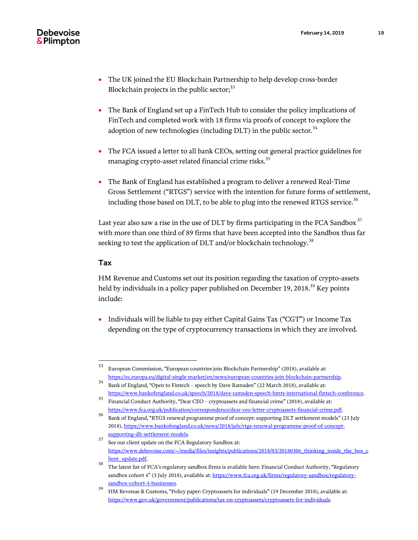- The UK joined the EU Blockchain Partnership to help develop cross-border Blockchain projects in the public sector; $33$
- The Bank of England set up a FinTech Hub to consider the policy implications of FinTech and completed work with 18 firms via proofs of concept to explore the adoption of new technologies (including DLT) in the public sector. $34$
- The FCA issued a letter to all bank CEOs, setting out general practice guidelines for managing crypto-asset related financial crime risks.<sup>35</sup>
- The Bank of England has established a program to deliver a renewed Real-Time Gross Settlement ("RTGS") service with the intention for future forms of settlement, including those based on DLT, to be able to plug into the renewed RTGS service.<sup>36</sup>

Last year also saw a rise in the use of DLT by firms participating in the FCA Sandbox  $37$ with more than one third of 89 firms that have been accepted into the Sandbox thus far seeking to test the application of DLT and/or blockchain technology.<sup>38</sup>

# Tax

HM Revenue and Customs set out its position regarding the taxation of crypto-assets held by individuals in a policy paper published on December 19, 2018.<sup>39</sup> Key points include:

 Individuals will be liable to pay either Capital Gains Tax ("CGT") or Income Tax depending on the type of cryptocurrency transactions in which they are involved.

<sup>33</sup> <sup>33</sup> European Commission, "European countries join Blockchain Partnership" (2018), available at: [https://ec.europa.eu/digital-single-market/en/news/european-countries-join-blockchain-partnership.](https://ec.europa.eu/digital-single-market/en/news/european-countries-join-blockchain-partnership)

<sup>34</sup> Bank of England, "Open to Fintech – speech by Dave Ramsden" (22 March 2018), available at: [https://www.bankofengland.co.uk/speech/2018/dave-ramsden-speech-hmts-international-fintech-conference.](https://www.bankofengland.co.uk/speech/2018/dave-ramsden-speech-hmts-international-fintech-conference)

<sup>35</sup> Financial Conduct Authority, "Dear CEO – cryptoassets and financial crime" (2018), available at: [https://www.fca.org.uk/publication/correspondence/dear-ceo-letter-cryptoassets-financial-crime.pdf.](https://www.fca.org.uk/publication/correspondence/dear-ceo-letter-cryptoassets-financial-crime.pdf)

<sup>&</sup>lt;sup>36</sup> Bank of England, "RTGS renewal programme proof of concept: supporting DLT settlement models" (23 July 2018)[, https://www.bankofengland.co.uk/news/2018/july/rtgs-renewal-programme-proof-of-concept](https://www.bankofengland.co.uk/news/2018/july/rtgs-renewal-programme-proof-of-concept-supporting-dlt-settlement-models)[supporting-dlt-settlement-models.](https://www.bankofengland.co.uk/news/2018/july/rtgs-renewal-programme-proof-of-concept-supporting-dlt-settlement-models)

<sup>&</sup>lt;sup>37</sup> See our client update on the FCA Regulatory Sandbox at: [https://www.debevoise.com/~/media/files/insights/publications/2018/03/20180306\\_thinking\\_inside\\_the\\_box\\_c](https://www.debevoise.com/~/media/files/insights/publications/2018/03/20180306_thinking_inside_the_box_client_update.pdf) [lient\\_update.pdf.](https://www.debevoise.com/~/media/files/insights/publications/2018/03/20180306_thinking_inside_the_box_client_update.pdf)

<sup>38</sup> The latest list of FCA's regulatory sandbox firms is available here: Financial Conduct Authority, "Regulatory sandbox cohort 4" (3 July 2018), available at[: https://www.fca.org.uk/firms/regulatory-sandbox/regulatory](https://www.fca.org.uk/firms/regulatory-sandbox/regulatory-sandbox-cohort-4-businesses)[sandbox-cohort-4-businesses.](https://www.fca.org.uk/firms/regulatory-sandbox/regulatory-sandbox-cohort-4-businesses)

<sup>39</sup> HM Revenue & Customs, "Policy paper: Cryptoassets for individuals" (19 December 2018), available at: [https://www.gov.uk/government/publications/tax-on-cryptoassets/cryptoassets-for-individuals.](https://www.gov.uk/government/publications/tax-on-cryptoassets/cryptoassets-for-individuals)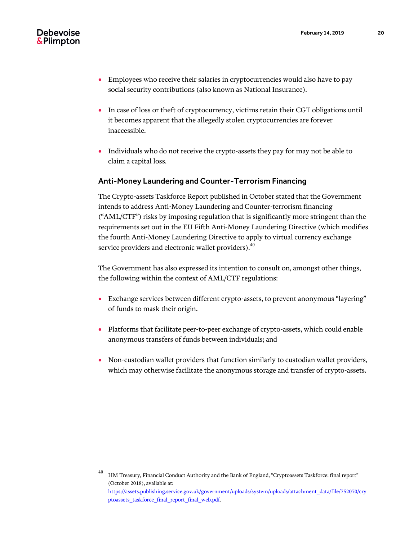- Employees who receive their salaries in cryptocurrencies would also have to pay social security contributions (also known as National Insurance).
- In case of loss or theft of cryptocurrency, victims retain their CGT obligations until it becomes apparent that the allegedly stolen cryptocurrencies are forever inaccessible.
- Individuals who do not receive the crypto-assets they pay for may not be able to claim a capital loss.

# Anti-Money Laundering and Counter-Terrorism Financing

The Crypto-assets Taskforce Report published in October stated that the Government intends to address Anti-Money Laundering and Counter-terrorism financing ("AML/CTF") risks by imposing regulation that is significantly more stringent than the requirements set out in the EU Fifth Anti-Money Laundering Directive (which modifies the fourth Anti-Money Laundering Directive to apply to virtual currency exchange service providers and electronic wallet providers).  $^{40}$ 

The Government has also expressed its intention to consult on, amongst other things, the following within the context of AML/CTF regulations:

- Exchange services between different crypto-assets, to prevent anonymous "layering" of funds to mask their origin.
- Platforms that facilitate peer-to-peer exchange of crypto-assets, which could enable anonymous transfers of funds between individuals; and
- Non-custodian wallet providers that function similarly to custodian wallet providers, which may otherwise facilitate the anonymous storage and transfer of crypto-assets.

<sup>40</sup> <sup>40</sup> HM Treasury, Financial Conduct Authority and the Bank of England, "Cryptoassets Taskforce: final report" (October 2018), available at: [https://assets.publishing.service.gov.uk/government/uploads/system/uploads/attachment\\_data/file/752070/cry](https://assets.publishing.service.gov.uk/government/uploads/system/uploads/attachment_data/file/752070/cryptoassets_taskforce_final_report_final_web.pdf) [ptoassets\\_taskforce\\_final\\_report\\_final\\_web.pdf.](https://assets.publishing.service.gov.uk/government/uploads/system/uploads/attachment_data/file/752070/cryptoassets_taskforce_final_report_final_web.pdf)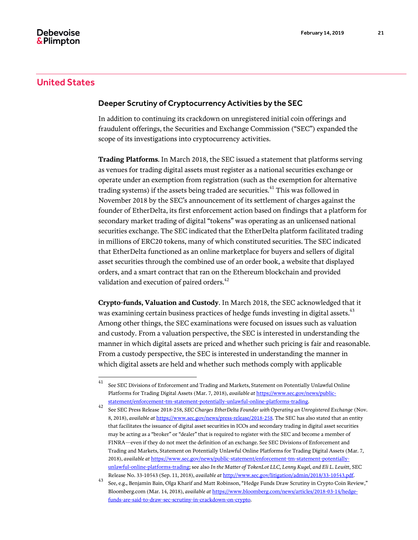# United States

# Deeper Scrutiny of Cryptocurrency Activities by the SEC

In addition to continuing its crackdown on unregistered initial coin offerings and fraudulent offerings, the Securities and Exchange Commission ("SEC") expanded the scope of its investigations into cryptocurrency activities.

**Trading Platforms***.* In March 2018, the SEC issued a statement that platforms serving as venues for trading digital assets must register as a national securities exchange or operate under an exemption from registration (such as the exemption for alternative trading systems) if the assets being traded are securities.<sup>41</sup> This was followed in November 2018 by the SEC's announcement of its settlement of charges against the founder of EtherDelta, its first enforcement action based on findings that a platform for secondary market trading of digital "tokens" was operating as an unlicensed national securities exchange. The SEC indicated that the EtherDelta platform facilitated trading in millions of ERC20 tokens, many of which constituted securities. The SEC indicated that EtherDelta functioned as an online marketplace for buyers and sellers of digital asset securities through the combined use of an order book, a website that displayed orders, and a smart contract that ran on the Ethereum blockchain and provided validation and execution of paired orders.<sup>42</sup>

**Crypto-funds, Valuation and Custody**. In March 2018, the SEC acknowledged that it was examining certain business practices of hedge funds investing in digital assets.<sup>43</sup> Among other things, the SEC examinations were focused on issues such as valuation and custody. From a valuation perspective, the SEC is interested in understanding the manner in which digital assets are priced and whether such pricing is fair and reasonable. From a custody perspective, the SEC is interested in understanding the manner in which digital assets are held and whether such methods comply with applicable

<sup>41</sup> See SEC Divisions of Enforcement and Trading and Markets, Statement on Potentially Unlawful Online Platforms for Trading Digital Assets (Mar. 7, 2018), *available at* [https://www.sec.gov/news/public](https://www.sec.gov/news/public-statement/enforcement-tm-statement-potentially-unlawful-online-platforms-trading)[statement/enforcement-tm-statement-potentially-unlawful-online-platforms-trading.](https://www.sec.gov/news/public-statement/enforcement-tm-statement-potentially-unlawful-online-platforms-trading)

<sup>42</sup> See SEC Press Release 2018-258, *SEC Charges EtherDelta Founder with Operating an Unregistered Exchange* (Nov. 8, 2018), *available at* [https://www.sec.gov/news/press-release/2018-258.](https://www.sec.gov/news/press-release/2018-258) The SEC has also stated that an entity that facilitates the issuance of digital asset securities in ICOs and secondary trading in digital asset securities may be acting as a "broker" or "dealer" that is required to register with the SEC and become a member of FINRA—even if they do not meet the definition of an exchange. See SEC Divisions of Enforcement and Trading and Markets, Statement on Potentially Unlawful Online Platforms for Trading Digital Assets (Mar. 7, 2018), *available at* [https://www.sec.gov/news/public-statement/enforcement-tm-statement-potentially](https://www.sec.gov/news/public-statement/enforcement-tm-statement-potentially-unlawful-online-platforms-trading)[unlawful-online-platforms-trading;](https://www.sec.gov/news/public-statement/enforcement-tm-statement-potentially-unlawful-online-platforms-trading) see also *In the Matter of TokenLot LLC, Lenny Kugel, and Eli L. Lewitt*, SEC Release No. 33-10543 (Sep. 11, 2018), *available at* [http://www.sec.gov/litigation/admin/2018/33-10543.pdf.](http://www.sec.gov/litigation/admin/2018/33-10543.pdf)

<sup>43</sup> See, e.g., Benjamin Bain, Olga Kharif and Matt Robinson, "Hedge Funds Draw Scrutiny in Crypto Coin Review," Bloomberg.com (Mar. 14, 2018), *available at* [https://www.bloomberg.com/news/articles/2018-03-14/hedge](https://www.bloomberg.com/news/articles/2018-03-14/hedge-funds-are-said-to-draw-sec-scrutiny-in-crackdown-on-crypto)[funds-are-said-to-draw-sec-scrutiny-in-crackdown-on-crypto.](https://www.bloomberg.com/news/articles/2018-03-14/hedge-funds-are-said-to-draw-sec-scrutiny-in-crackdown-on-crypto)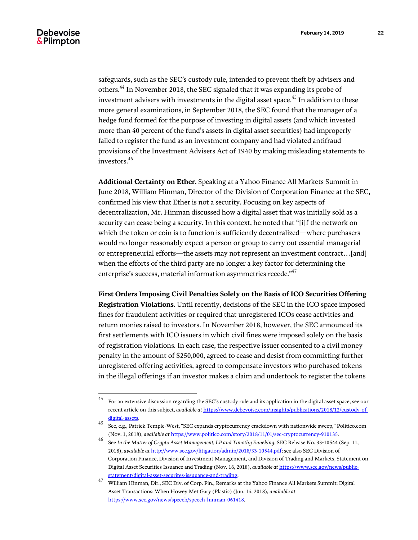safeguards, such as the SEC's custody rule, intended to prevent theft by advisers and others.<sup>44</sup> In November 2018, the SEC signaled that it was expanding its probe of investment advisers with investments in the digital asset space.<sup>45</sup> In addition to these more general examinations, in September 2018, the SEC found that the manager of a hedge fund formed for the purpose of investing in digital assets (and which invested more than 40 percent of the fund's assets in digital asset securities) had improperly failed to register the fund as an investment company and had violated antifraud provisions of the Investment Advisers Act of 1940 by making misleading statements to investors.<sup>46</sup>

**Additional Certainty on Ether**. Speaking at a Yahoo Finance All Markets Summit in June 2018, William Hinman, Director of the Division of Corporation Finance at the SEC, confirmed his view that Ether is not a security. Focusing on key aspects of decentralization, Mr. Hinman discussed how a digital asset that was initially sold as a security can cease being a security. In this context, he noted that "[i]f the network on which the token or coin is to function is sufficiently decentralized—where purchasers would no longer reasonably expect a person or group to carry out essential managerial or entrepreneurial efforts—the assets may not represent an investment contract…[and] when the efforts of the third party are no longer a key factor for determining the enterprise's success, material information asymmetries recede." $^{47}$ 

**First Orders Imposing Civil Penalties Solely on the Basis of ICO Securities Offering Registration Violations***.* Until recently, decisions of the SEC in the ICO space imposed fines for fraudulent activities or required that unregistered ICOs cease activities and return monies raised to investors. In November 2018, however, the SEC announced its first settlements with ICO issuers in which civil fines were imposed solely on the basis of registration violations. In each case, the respective issuer consented to a civil money penalty in the amount of \$250,000, agreed to cease and desist from committing further unregistered offering activities, agreed to compensate investors who purchased tokens in the illegal offerings if an investor makes a claim and undertook to register the tokens

 $\rm 44$ <sup>44</sup> For an extensive discussion regarding the SEC's custody rule and its application in the digital asset space, see our recent article on this subject, *available at* [https://www.debevoise.com/insights/publications/2018/12/custody-of](https://www.debevoise.com/insights/publications/2018/12/custody-of-digital-assets)[digital-assets.](https://www.debevoise.com/insights/publications/2018/12/custody-of-digital-assets)

<sup>45</sup> See, e.g., Patrick Temple-West, "SEC expands cryptocurrency crackdown with nationwide sweep," Politico.com (Nov. 1, 2018), *available at* [https://www.politico.com/story/2018/11/01/sec-cryptocurrency-910135.](https://www.politico.com/story/2018/11/01/sec-cryptocurrency-910135)

<sup>46</sup> See *In the Matter of Crypto Asset Management, LP and Timothy Enneking*, SEC Release No. 33-10544 (Sep. 11, 2018), *available at* [http://www.sec.gov/litigation/admin/2018/33-10544.pdf;](http://www.sec.gov/litigation/admin/2018/33-10544.pdf) see also SEC Division of Corporation Finance, Division of Investment Management, and Division of Trading and Markets, Statement on Digital Asset Securities Issuance and Trading (Nov. 16, 2018), *available at* [https://www.sec.gov/news/public](https://www.sec.gov/news/public-statement/digital-asset-securites-issuuance-and-trading)[statement/digital-asset-securites-issuuance-and-trading.](https://www.sec.gov/news/public-statement/digital-asset-securites-issuuance-and-trading)

<sup>47</sup> William Hinman, Dir., SEC Div. of Corp. Fin., Remarks at the Yahoo Finance All Markets Summit: Digital Asset Transactions: When Howey Met Gary (Plastic) (Jun. 14, 2018), *available at* [https://www.sec.gov/news/speech/speech-hinman-061418.](https://www.sec.gov/news/speech/speech-hinman-061418)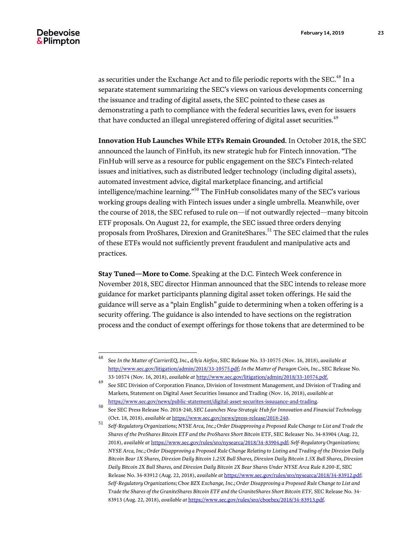as securities under the Exchange Act and to file periodic reports with the SEC.<sup>48</sup> In a separate statement summarizing the SEC's views on various developments concerning the issuance and trading of digital assets, the SEC pointed to these cases as demonstrating a path to compliance with the federal securities laws, even for issuers that have conducted an illegal unregistered offering of digital asset securities.<sup>49</sup>

**Innovation Hub Launches While ETFs Remain Grounded**. In October 2018, the SEC announced the launch of FinHub, its new strategic hub for Fintech innovation. "The FinHub will serve as a resource for public engagement on the SEC's Fintech-related issues and initiatives, such as distributed ledger technology (including digital assets), automated investment advice, digital marketplace financing, and artificial intelligence/machine learning."<sup>50</sup> The FinHub consolidates many of the SEC's various working groups dealing with Fintech issues under a single umbrella. Meanwhile, over the course of 2018, the SEC refused to rule on—if not outwardly rejected—many bitcoin ETF proposals. On August 22, for example, the SEC issued three orders denying proposals from ProShares, Direxion and GraniteShares.<sup>51</sup> The SEC claimed that the rules of these ETFs would not sufficiently prevent fraudulent and manipulative acts and practices.

**Stay Tuned—More to Come**. Speaking at the D.C. Fintech Week conference in November 2018, SEC director Hinman announced that the SEC intends to release more guidance for market participants planning digital asset token offerings. He said the guidance will serve as a "plain English" guide to determining when a token offering is a security offering. The guidance is also intended to have sections on the registration process and the conduct of exempt offerings for those tokens that are determined to be

<sup>48</sup> <sup>48</sup> See *In the Matter of CarrierEQ, Inc., d/b/a Airfox*, SEC Release No. 33-10575 (Nov. 16, 2018), *available at* [http://www.sec.gov/litigation/admin/2018/33-10575.pdf;](http://www.sec.gov/litigation/admin/2018/33-10575.pdf) *In the Matter of Paragon Coin, Inc.*, SEC Release No. 33-10574 (Nov. 16, 2018), *available at* [http://www.sec.gov/litigation/admin/2018/33-10574.pdf.](http://www.sec.gov/litigation/admin/2018/33-10574.pdf)

<sup>&</sup>lt;sup>49</sup> See SEC Division of Corporation Finance, Division of Investment Management, and Division of Trading and Markets, Statement on Digital Asset Securities Issuance and Trading (Nov. 16, 2018), *available at* [https://www.sec.gov/news/public-statement/digital-asset-securites-issuuance-and-trading.](https://www.sec.gov/news/public-statement/digital-asset-securites-issuuance-and-trading)

<sup>50</sup> See SEC Press Release No. 2018-240, *SEC Launches New Strategic Hub for Innovation and Financial Technology* (Oct. 18, 2018), *available at* [https://www.sec.gov/news/press-release/2018-240.](https://www.sec.gov/news/press-release/2018-240)

<sup>51</sup> *Self-Regulatory Organizations; NYSE Arca, Inc.; Order Disapproving a Proposed Rule Change to List and Trade the Shares of the ProShares Bitcoin ETF and the ProShares Short Bitcoin* ETF, SEC Releaser No. 34-83904 (Aug. 22, 2018), *available at* [https://www.sec.gov/rules/sro/nysearca/2018/34-83904.pdf;](https://www.sec.gov/rules/sro/nysearca/2018/34-83904.pdf) *Self-Regulatory Organizations; NYSE Arca, Inc.; Order Disapproving a Proposed Rule Change Relating to Listing and Trading of the Direxion Daily Bitcoin Bear 1X Shares, Direxion Daily Bitcoin 1.25X Bull Shares, Direxion Daily Bitcoin 1.5X Bull Shares, Direxion Daily Bitcoin 2X Bull Shares, and Direxion Daily Bitcoin 2X Bear Shares Under NYSE Arca Rule 8.200-E*, SEC Release No. 34-83912 (Aug. 22, 2018), *available at* [https://www.sec.gov/rules/sro/nysearca/2018/34-83912.pdf;](https://www.sec.gov/rules/sro/nysearca/2018/34-83912.pdf)  *Self-Regulatory Organizations; Cboe BZX Exchange, Inc.; Order Disapproving a Proposed Rule Change to List and Trade the Shares of the GraniteShares Bitcoin ETF and the GraniteShares Short Bitcoin ETF,* SEC Release No. 34- 83913 (Aug. 22, 2018), *available at* [https://www.sec.gov/rules/sro/cboebzx/2018/34-83913.pdf.](https://www.sec.gov/rules/sro/cboebzx/2018/34-83913.pdf)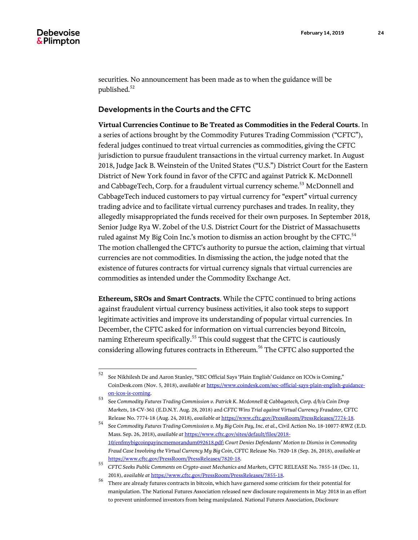securities. No announcement has been made as to when the guidance will be published.<sup>52</sup>

#### Developments in the Courts and the CFTC

**Virtual Currencies Continue to Be Treated as Commodities in the Federal Courts**. In a series of actions brought by the Commodity Futures Trading Commission ("CFTC"), federal judges continued to treat virtual currencies as commodities, giving the CFTC jurisdiction to pursue fraudulent transactions in the virtual currency market. In August 2018, Judge Jack B. Weinstein of the United States ("U.S.") District Court for the Eastern District of New York found in favor of the CFTC and against Patrick K. McDonnell and CabbageTech, Corp. for a fraudulent virtual currency scheme.<sup>53</sup> McDonnell and CabbageTech induced customers to pay virtual currency for "expert" virtual currency trading advice and to facilitate virtual currency purchases and trades. In reality, they allegedly misappropriated the funds received for their own purposes. In September 2018, Senior Judge Rya W. Zobel of the U.S. District Court for the District of Massachusetts ruled against My Big Coin Inc.'s motion to dismiss an action brought by the CFTC. $^{54}$ The motion challenged the CFTC's authority to pursue the action, claiming that virtual currencies are not commodities. In dismissing the action, the judge noted that the existence of futures contracts for virtual currency signals that virtual currencies are commodities as intended under the Commodity Exchange Act.

**Ethereum, SROs and Smart Contracts**. While the CFTC continued to bring actions against fraudulent virtual currency business activities, it also took steps to support legitimate activities and improve its understanding of popular virtual currencies. In December, the CFTC asked for information on virtual currencies beyond Bitcoin, naming Ethereum specifically.<sup>55</sup> This could suggest that the CFTC is cautiously considering allowing futures contracts in Ethereum.<sup>56</sup> The CFTC also supported the

 $52\,$ <sup>52</sup> See Nikhilesh De and Aaron Stanley, "SEC Official Says 'Plain English' Guidance on ICOs is Coming," CoinDesk.com (Nov. 5, 2018), *available at* [https://www.coindesk.com/sec-official-says-plain-english-guidance](https://www.coindesk.com/sec-official-says-plain-english-guidance-on-icos-is-coming)[on-icos-is-coming.](https://www.coindesk.com/sec-official-says-plain-english-guidance-on-icos-is-coming)

<sup>53</sup> See *Commodity Futures Trading Commission v. Patrick K. Mcdonnell & Cabbagetech, Corp. d/b/a Coin Drop Markets*, 18-CV-361 (E.D.N.Y. Aug. 28, 2018) and *CFTC Wins Trial against Virtual Currency Fraudster,* CFTC Release No. 7774-18 (Aug. 24, 2018), *available at* [https://www.cftc.gov/PressRoom/PressReleases/7774-18.](https://www.cftc.gov/PressRoom/PressReleases/7774-18)

<sup>54</sup> See *Commodity Futures Trading Commission v. My Big Coin Pay, Inc. et al.*, Civil Action No. 18-10077-RWZ (E.D. Mass. Sep. 26, 2018), *available at* [https://www.cftc.gov/sites/default/files/2018-](https://www.cftc.gov/sites/default/files/2018-10/enfmybigcoinpayincmemorandum092618.pdf) [10/enfmybigcoinpayincmemorandum092618.pdf;](https://www.cftc.gov/sites/default/files/2018-10/enfmybigcoinpayincmemorandum092618.pdf) *Court Denies Defendants' Motion to Dismiss in Commodity Fraud Case Involving the Virtual Currency My Big Coin*, CFTC Release No. 7820-18 (Sep. 26, 2018), *available at*  [https://www.cftc.gov/PressRoom/PressReleases/7820-18.](https://www.cftc.gov/PressRoom/PressReleases/7820-18)

<sup>55</sup> *CFTC Seeks Public Comments on Crypto-asset Mechanics and Markets*, CFTC RELEASE No. 7855-18 (Dec. 11, 2018), *available at* [https://www.cftc.gov/PressRoom/PressReleases/7855-18.](https://www.cftc.gov/PressRoom/PressReleases/7855-18)

There are already futures contracts in bitcoin, which have garnered some criticism for their potential for manipulation. The National Futures Association released new disclosure requirements in May 2018 in an effort to prevent uninformed investors from being manipulated. National Futures Association, *Disclosure*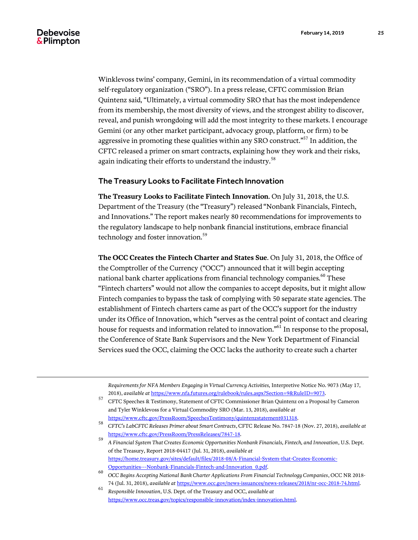$\overline{a}$ 

Winklevoss twins' company, Gemini, in its recommendation of a virtual commodity self-regulatory organization ("SRO"). In a press release, CFTC commission Brian Quintenz said, "Ultimately, a virtual commodity SRO that has the most independence from its membership, the most diversity of views, and the strongest ability to discover, reveal, and punish wrongdoing will add the most integrity to these markets. I encourage Gemini (or any other market participant, advocacy group, platform, or firm) to be aggressive in promoting these qualities within any SRO construct."<sup>57</sup> In addition, the CFTC released a primer on smart contracts, explaining how they work and their risks, again indicating their efforts to understand the industry.<sup>58</sup>

# The Treasury Looks to Facilitate Fintech Innovation

**The Treasury Looks to Facilitate Fintech Innovation***.* On July 31, 2018, the U.S. Department of the Treasury (the "Treasury") released "Nonbank Financials, Fintech, and Innovations." The report makes nearly 80 recommendations for improvements to the regulatory landscape to help nonbank financial institutions, embrace financial technology and foster innovation.<sup>59</sup>

**The OCC Creates the Fintech Charter and States Sue**. On July 31, 2018, the Office of the Comptroller of the Currency ("OCC") announced that it will begin accepting national bank charter applications from financial technology companies.<sup>60</sup> These "Fintech charters" would not allow the companies to accept deposits, but it might allow Fintech companies to bypass the task of complying with 50 separate state agencies. The establishment of Fintech charters came as part of the OCC's support for the industry under its Office of Innovation, which "serves as the central point of contact and clearing house for requests and information related to innovation." <sup>61</sup> In response to the proposal, the Conference of State Bank Supervisors and the New York Department of Financial Services sued the OCC, claiming the OCC lacks the authority to create such a charter

*Requirements for NFA Members Engaging in Virtual Currency Activities,* Interpretive Notice No. 9073 (May 17, 2018), *available at* [https://www.nfa.futures.org/rulebook/rules.aspx?Section=9&RuleID=9073.](https://www.nfa.futures.org/rulebook/rules.aspx?Section=9&RuleID=9073)

<sup>57</sup> CFTC Speeches & Testimony, Statement of CFTC Commissioner Brian Quintenz on a Proposal by Cameron and Tyler Winklevoss for a Virtual Commodity SRO (Mar. 13, 2018), *available at*

[https://www.cftc.gov/PressRoom/SpeechesTestimony/quintenzstatement031318.](https://www.cftc.gov/PressRoom/SpeechesTestimony/quintenzstatement031318)

<sup>58</sup> *CFTC's LabCFTC Releases Primer about Smart Contracts*, CFTC Release No. 7847-18 (Nov. 27, 2018), *available at* [https://www.cftc.gov/PressRoom/PressReleases/7847-18.](https://www.cftc.gov/PressRoom/PressReleases/7847-18)

<sup>59</sup> *A Financial System That Creates Economic Opportunities Nonbank Financials, Fintech, and Innovation*, U.S. Dept. of the Treasury, Report 2018-04417 (Jul. 31, 2018), *available at* [https://home.treasury.gov/sites/default/files/2018-08/A-Financial-System-that-Creates-Economic-](https://home.treasury.gov/sites/default/files/2018-08/A-Financial-System-that-Creates-Economic-Opportunities---Nonbank-Financials-Fintech-and-Innovation_0.pdf)[Opportunities---Nonbank-Financials-Fintech-and-Innovation\\_0.pdf.](https://home.treasury.gov/sites/default/files/2018-08/A-Financial-System-that-Creates-Economic-Opportunities---Nonbank-Financials-Fintech-and-Innovation_0.pdf)

<sup>60</sup> *OCC Begins Accepting National Bank Charter Applications From Financial Technology Companies*, OCC NR 2018- 74 (Jul. 31, 2018), *available at* [https://www.occ.gov/news-issuances/news-releases/2018/nr-occ-2018-74.html.](https://www.occ.gov/news-issuances/news-releases/2018/nr-occ-2018-74.html)

<sup>61</sup> *Responsible Innovation*, U.S. Dept. of the Treasury and OCC, *available at* [https://www.occ.treas.gov/topics/responsible-innovation/index-innovation.html.](https://www.occ.treas.gov/topics/responsible-innovation/index-innovation.html)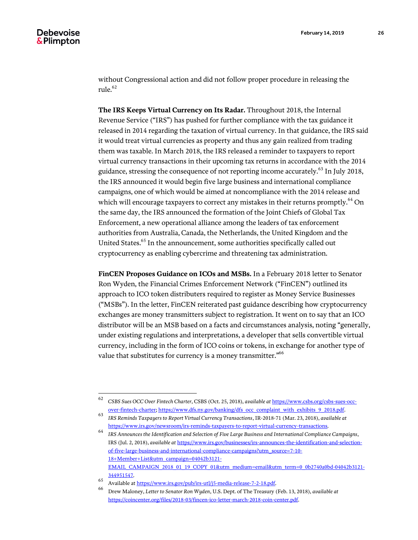without Congressional action and did not follow proper procedure in releasing the rule. $62$ 

**The IRS Keeps Virtual Currency on Its Radar.** Throughout 2018, the Internal Revenue Service ("IRS") has pushed for further compliance with the tax guidance it released in 2014 regarding the taxation of virtual currency. In that guidance, the IRS said it would treat virtual currencies as property and thus any gain realized from trading them was taxable. In March 2018, the IRS released a reminder to taxpayers to report virtual currency transactions in their upcoming tax returns in accordance with the 2014 guidance, stressing the consequence of not reporting income accurately.<sup>63</sup> In July 2018, the IRS announced it would begin five large business and international compliance campaigns, one of which would be aimed at noncompliance with the 2014 release and which will encourage taxpayers to correct any mistakes in their returns promptly.<sup>64</sup> On the same day, the IRS announced the formation of the Joint Chiefs of Global Tax Enforcement, a new operational alliance among the leaders of tax enforcement authorities from Australia, Canada, the Netherlands, the United Kingdom and the United States.<sup>65</sup> In the announcement, some authorities specifically called out cryptocurrency as enabling cybercrime and threatening tax administration.

**FinCEN Proposes Guidance on ICOs and MSBs.** In a February 2018 letter to Senator Ron Wyden, the Financial Crimes Enforcement Network ("FinCEN") outlined its approach to ICO token distributers required to register as Money Service Businesses ("MSBs"). In the letter, FinCEN reiterated past guidance describing how cryptocurrency exchanges are money transmitters subject to registration. It went on to say that an ICO distributor will be an MSB based on a facts and circumstances analysis, noting "generally, under existing regulations and interpretations, a developer that sells convertible virtual currency, including in the form of ICO coins or tokens, in exchange for another type of value that substitutes for currency is a money transmitter." $^{66}$ 

<sup>62</sup> <sup>62</sup> *CSBS Sues OCC Over Fintech Charter*, CSBS (Oct. 25, 2018), *available at* [https://www.csbs.org/csbs-sues-occ](https://www.csbs.org/csbs-sues-occ-over-fintech-charter)[over-fintech-charter;](https://www.csbs.org/csbs-sues-occ-over-fintech-charter) [https://www.dfs.ny.gov/banking/dfs\\_occ\\_complaint\\_with\\_exhibits\\_9\\_2018.pdf.](https://www.dfs.ny.gov/banking/dfs_occ_complaint_with_exhibits_9_2018.pdf)

<sup>63</sup> *IRS Reminds Taxpayers to Report Virtual Currency Transactions*, IR-2018-71 (Mar. 23, 2018), *available at* [https://www.irs.gov/newsroom/irs-reminds-taxpayers-to-report-virtual-currency-transactions.](https://www.irs.gov/newsroom/irs-reminds-taxpayers-to-report-virtual-currency-transactions)

<sup>64</sup> *IRS Announces the Identification and Selection of Five Large Business and International Compliance Campaigns*, IRS (Jul. 2, 2018), *available at* [https://www.irs.gov/businesses/irs-announces-the-identification-and-selection](https://www.irs.gov/businesses/irs-announces-the-identification-and-selection-of-five-large-business-and-international-compliance-campaigns?utm_source=7-10-18+Member+List&utm_campaign=04042b3121-EMAIL_CAMPAIGN_2018_01_19_COPY_01&utm_medium=email&utm_term=0_0b2740a0bd-04042b3121-344951547)[of-five-large-business-and-international-compliance-campaigns?utm\\_source=7-10-](https://www.irs.gov/businesses/irs-announces-the-identification-and-selection-of-five-large-business-and-international-compliance-campaigns?utm_source=7-10-18+Member+List&utm_campaign=04042b3121-EMAIL_CAMPAIGN_2018_01_19_COPY_01&utm_medium=email&utm_term=0_0b2740a0bd-04042b3121-344951547) [18+Member+List&utm\\_campaign=04042b3121-](https://www.irs.gov/businesses/irs-announces-the-identification-and-selection-of-five-large-business-and-international-compliance-campaigns?utm_source=7-10-18+Member+List&utm_campaign=04042b3121-EMAIL_CAMPAIGN_2018_01_19_COPY_01&utm_medium=email&utm_term=0_0b2740a0bd-04042b3121-344951547) [EMAIL\\_CAMPAIGN\\_2018\\_01\\_19\\_COPY\\_01&utm\\_medium=email&utm\\_term=0\\_0b2740a0bd-04042b3121-](https://www.irs.gov/businesses/irs-announces-the-identification-and-selection-of-five-large-business-and-international-compliance-campaigns?utm_source=7-10-18+Member+List&utm_campaign=04042b3121-EMAIL_CAMPAIGN_2018_01_19_COPY_01&utm_medium=email&utm_term=0_0b2740a0bd-04042b3121-344951547) [344951547.](https://www.irs.gov/businesses/irs-announces-the-identification-and-selection-of-five-large-business-and-international-compliance-campaigns?utm_source=7-10-18+Member+List&utm_campaign=04042b3121-EMAIL_CAMPAIGN_2018_01_19_COPY_01&utm_medium=email&utm_term=0_0b2740a0bd-04042b3121-344951547)

<sup>65</sup>  $\frac{65}{\text{Available}}$  a[t https://www.irs.gov/pub/irs-utl/j5-media-release-7-2-18.pdf.](https://www.irs.gov/pub/irs-utl/j5-media-release-7-2-18.pdf)

<sup>66</sup> Drew Maloney, *Letter to Senator Ron Wyden*, U.S. Dept. of The Treasury (Feb. 13, 2018), *available at* [https://coincenter.org/files/2018-03/fincen-ico-letter-march-2018-coin-center.pdf.](https://coincenter.org/files/2018-03/fincen-ico-letter-march-2018-coin-center.pdf)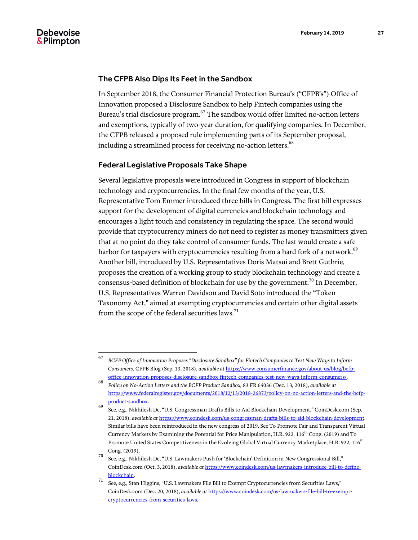#### The CFPB Also Dips Its Feet in the Sandbox

In September 2018, the Consumer Financial Protection Bureau's ("CFPB's") Office of Innovation proposed a Disclosure Sandbox to help Fintech companies using the Bureau's trial disclosure program.<sup>67</sup> The sandbox would offer limited no-action letters and exemptions, typically of two-year duration, for qualifying companies. In December, the CFPB released a proposed rule implementing parts of its September proposal, including a streamlined process for receiving no-action letters.<sup>68</sup>

#### Federal Legislative Proposals Take Shape

Several legislative proposals were introduced in Congress in support of blockchain technology and cryptocurrencies. In the final few months of the year, U.S. Representative Tom Emmer introduced three bills in Congress. The first bill expresses support for the development of digital currencies and blockchain technology and encourages a light touch and consistency in regulating the space. The second would provide that cryptocurrency miners do not need to register as money transmitters given that at no point do they take control of consumer funds. The last would create a safe harbor for taxpayers with cryptocurrencies resulting from a hard fork of a network.<sup>69</sup> Another bill, introduced by U.S. Representatives Doris Matsui and Brett Guthrie, proposes the creation of a working group to study blockchain technology and create a consensus-based definition of blockchain for use by the government.<sup>70</sup> In December, U.S. Representatives Warren Davidson and David Soto introduced the "Token Taxonomy Act," aimed at exempting cryptocurrencies and certain other digital assets from the scope of the federal securities laws.<sup>71</sup>

<sup>67</sup> <sup>67</sup> *BCFP Office of Innovation Proposes "Disclosure Sandbox" for Fintech Companies to Test New Ways to Inform Consumers*, CFPB Blog (Sep. 13, 2018), *available at* [https://www.consumerfinance.gov/about-us/blog/bcfp](https://www.consumerfinance.gov/about-us/blog/bcfp-office-innovation-proposes-disclosure-sandbox-fintech-companies-test-new-ways-inform-consumers/)[office-innovation-proposes-disclosure-sandbox-fintech-companies-test-new-ways-inform-consumers/.](https://www.consumerfinance.gov/about-us/blog/bcfp-office-innovation-proposes-disclosure-sandbox-fintech-companies-test-new-ways-inform-consumers/)

<sup>68</sup> *Policy on No-Action Letters and the BCFP Product Sandbox,* 83 FR 64036 (Dec. 13, 2018), *available at*  [https://www.federalregister.gov/documents/2018/12/13/2018-26873/policy-on-no-action-letters-and-the-bcfp](https://www.federalregister.gov/documents/2018/12/13/2018-26873/policy-on-no-action-letters-and-the-bcfp-product-sandbox)[product-sandbox.](https://www.federalregister.gov/documents/2018/12/13/2018-26873/policy-on-no-action-letters-and-the-bcfp-product-sandbox)

<sup>69</sup> See, e.g., Nikhilesh De, "U.S. Congressman Drafts Bills to Aid Blockchain Development," CoinDesk.com (Sep. 21, 2018), *available at* [https://www.coindesk.com/us-congressman-drafts-bills-to-aid-blockchain-development.](https://www.coindesk.com/us-congressman-drafts-bills-to-aid-blockchain-development)  Similar bills have been reintroduced in the new congress of 2019. See To Promote Fair and Transparent Virtual Currency Markets by Examining the Potential for Price Manipulation, H.R. 922, 116<sup>th</sup> Cong. (2019) and To Promote United States Competitiveness in the Evolving Global Virtual Currency Marketplace, H.R. 922, 116<sup>th</sup> Cong. (2019).

<sup>70</sup> See, e.g., Nikhilesh De, "U.S. Lawmakers Push for 'Blockchain' Definition in New Congressional Bill," CoinDesk.com (Oct. 3, 2018), *available at* [https://www.coindesk.com/us-lawmakers-introduce-bill-to-define](https://www.coindesk.com/us-lawmakers-introduce-bill-to-define-blockchain)[blockchain.](https://www.coindesk.com/us-lawmakers-introduce-bill-to-define-blockchain)

<sup>71</sup> See, e.g., Stan Higgins, "U.S. Lawmakers File Bill to Exempt Cryptocurrencies from Securities Laws," CoinDesk.com (Dec. 20, 2018), *available at* [https://www.coindesk.com/us-lawmakers-file-bill-to-exempt](https://www.coindesk.com/us-lawmakers-file-bill-to-exempt-cryptocurrencies-from-securities-laws)[cryptocurrencies-from-securities-laws.](https://www.coindesk.com/us-lawmakers-file-bill-to-exempt-cryptocurrencies-from-securities-laws)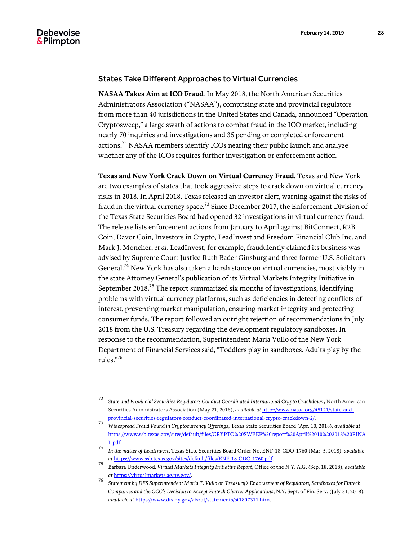#### States Take Different Approaches to Virtual Currencies

**NASAA Takes Aim at ICO Fraud***.* In May 2018, the North American Securities Administrators Association ("NASAA"), comprising state and provincial regulators from more than 40 jurisdictions in the United States and Canada, announced "Operation Cryptosweep," a large swath of actions to combat fraud in the ICO market, including nearly 70 inquiries and investigations and 35 pending or completed enforcement actions.<sup>72</sup> NASAA members identify ICOs nearing their public launch and analyze whether any of the ICOs requires further investigation or enforcement action.

**Texas and New York Crack Down on Virtual Currency Fraud***.* Texas and New York are two examples of states that took aggressive steps to crack down on virtual currency risks in 2018. In April 2018, Texas released an investor alert, warning against the risks of fraud in the virtual currency space.<sup>73</sup> Since December 2017, the Enforcement Division of the Texas State Securities Board had opened 32 investigations in virtual currency fraud. The release lists enforcement actions from January to April against BitConnect, R2B Coin, Davor Coin, Investors in Crypto, LeadInvest and Freedom Financial Club Inc. and Mark J. Moncher, *et al*. LeadInvest, for example, fraudulently claimed its business was advised by Supreme Court Justice Ruth Bader Ginsburg and three former U.S. Solicitors General.<sup>74</sup> New York has also taken a harsh stance on virtual currencies, most visibly in the state Attorney General's publication of its Virtual Markets Integrity Initiative in September 2018. $^{75}$  The report summarized six months of investigations, identifying problems with virtual currency platforms, such as deficiencies in detecting conflicts of interest, preventing market manipulation, ensuring market integrity and protecting consumer funds. The report followed an outright rejection of recommendations in July 2018 from the U.S. Treasury regarding the development regulatory sandboxes. In response to the recommendation, Superintendent Maria Vullo of the New York Department of Financial Services said, "Toddlers play in sandboxes. Adults play by the rules." 76

 $72\,$ <sup>72</sup> *State and Provincial Securities Regulators Conduct Coordinated International Crypto Crackdown*, North American Securities Administrators Association (May 21, 2018), *available at* [http://www.nasaa.org/45121/state-and](http://www.nasaa.org/45121/state-and-provincial-securities-regulators-conduct-coordinated-international-crypto-crackdown-2/)[provincial-securities-regulators-conduct-coordinated-international-crypto-crackdown-2/.](http://www.nasaa.org/45121/state-and-provincial-securities-regulators-conduct-coordinated-international-crypto-crackdown-2/)

<sup>73</sup> *Widespread Fraud Found in Cryptocurrency Offerings*, Texas State Securities Board (Apr. 10, 2018), *available at*  [https://www.ssb.texas.gov/sites/default/files/CRYPTO%20SWEEP%20report%20April%2010%202018%20FINA](https://www.ssb.texas.gov/sites/default/files/CRYPTO%20SWEEP%20report%20April%2010%202018%20FINAL.pdf) [L.pdf.](https://www.ssb.texas.gov/sites/default/files/CRYPTO%20SWEEP%20report%20April%2010%202018%20FINAL.pdf)

<sup>74</sup> *In the matter of LeadInvest*, Texas State Securities Board Order No. ENF-18-CDO-1760 (Mar. 5, 2018), *available at* [https://www.ssb.texas.gov/sites/default/files/ENF-18-CDO-1760.pdf.](https://www.ssb.texas.gov/sites/default/files/ENF-18-CDO-1760.pdf)

<sup>75</sup> Barbara Underwood, *Virtual Markets Integrity Initiative Report*, Office of the N.Y. A.G. (Sep. 18, 2018), *available at* [https://virtualmarkets.ag.ny.gov/.](https://virtualmarkets.ag.ny.gov/)

<sup>76</sup> *Statement by DFS Superintendent Maria T. Vullo on Treasury's Endorsement of Regulatory Sandboxes for Fintech Companies and the OCC's Decision to Accept Fintech Charter Applications*, N.Y. Sept. of Fin. Serv. (July 31, 2018), *available at* [https://www.dfs.ny.gov/about/statements/st1807311.htm.](https://www.dfs.ny.gov/about/statements/st1807311.htm)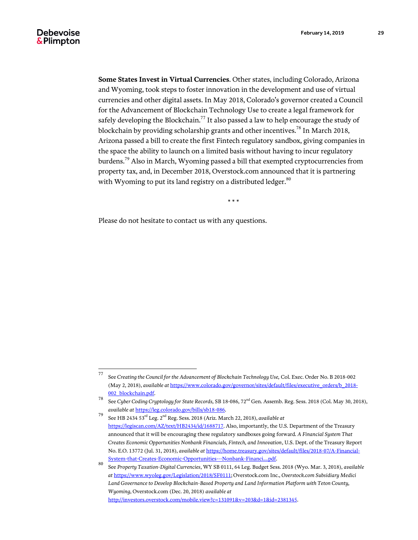**Some States Invest in Virtual Currencies**. Other states, including Colorado, Arizona and Wyoming, took steps to foster innovation in the development and use of virtual currencies and other digital assets. In May 2018, Colorado's governor created a Council for the Advancement of Blockchain Technology Use to create a legal framework for safely developing the Blockchain.<sup>77</sup> It also passed a law to help encourage the study of blockchain by providing scholarship grants and other incentives.<sup>78</sup> In March 2018, Arizona passed a bill to create the first Fintech regulatory sandbox, giving companies in the space the ability to launch on a limited basis without having to incur regulatory burdens.<sup>79</sup> Also in March, Wyoming passed a bill that exempted cryptocurrencies from property tax, and, in December 2018, Overstock.com announced that it is partnering with Wyoming to put its land registry on a distributed ledger. $80$ 

\* \* \*

Please do not hesitate to contact us with any questions.

<sup>77</sup> <sup>77</sup> See *Creating the Council for the Advancement of Blockchain Technology Use,* Col. Exec. Order No. B 2018-002 (May 2, 2018), *available at* [https://www.colorado.gov/governor/sites/default/files/executive\\_orders/b\\_2018-](https://www.colorado.gov/governor/sites/default/files/executive_orders/b_2018-002_blockchain.pdf) [002\\_blockchain.pdf.](https://www.colorado.gov/governor/sites/default/files/executive_orders/b_2018-002_blockchain.pdf)

<sup>78</sup> See *Cyber Coding Cryptology for State Records,* SB 18-086, 72nd Gen. Assemb. Reg. Sess. 2018 (Col. May 30, 2018), *available at* [https://leg.colorado.gov/bills/sb18-086.](https://leg.colorado.gov/bills/sb18-086)

<sup>79</sup> See HB 2434 53 rd Leg. 2nd Reg. Sess. 2018 (Ariz. March 22, 2018), *available at* [https://legiscan.com/AZ/text/HB2434/id/1688717.](https://legiscan.com/AZ/text/HB2434/id/1688717) Also, importantly, the U.S. Department of the Treasury announced that it will be encouraging these regulatory sandboxes going forward. *A Financial System That Creates Economic Opportunities Nonbank Financials, Fintech, and Innovation*, U.S. Dept. of the Treasury Report No. E.O. 13772 (Jul. 31, 2018), *available at* [https://home.treasury.gov/sites/default/files/2018-07/A-Financial-](https://home.treasury.gov/sites/default/files/2018-07/A-Financial-System-that-Creates-Economic-Opportunities---Nonbank-Financi....pdf)[System-that-Creates-Economic-Opportunities---Nonbank-Financi....pdf.](https://home.treasury.gov/sites/default/files/2018-07/A-Financial-System-that-Creates-Economic-Opportunities---Nonbank-Financi....pdf)

<sup>80</sup> See *Property Taxation-Digital Currencies*, WY SB 0111, 64 Leg. Budget Sess. 2018 (Wyo. Mar. 3, 2018), *available at* [https://www.wyoleg.gov/Legislation/2018/SF0111;](https://www.wyoleg.gov/Legislation/2018/SF0111) Overstock.com Inc., *Overstock.com Subsidiary Medici Land Governance to Develop Blockchain-Based Property and Land Information Platform with Teton County, Wyoming*, Overstock.com (Dec. 20, 2018) *available at* [http://investors.overstock.com/mobile.view?c=131091&v=203&d=1&id=2381345.](http://investors.overstock.com/mobile.view?c=131091&v=203&d=1&id=2381345)